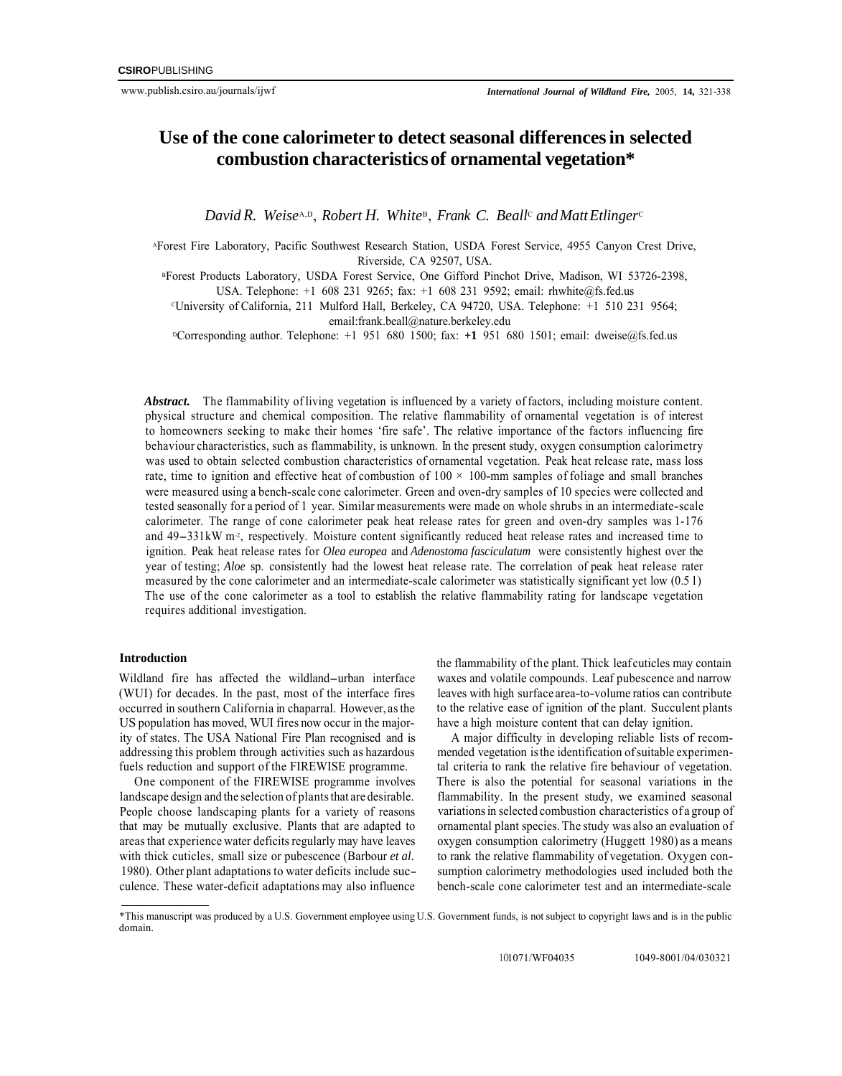# **Use of the cone calorimeter to detect seasonal differences in selected combustion characteristics of ornamental vegetation\***

*David R. Weise<sup>A,D</sup>, Robert H. White<sup>B</sup>, <i>Frank C. Beall<sup>c</sup> and Matt Etlinger<sup>c</sup>* 

AForest Fire Laboratory, Pacific Southwest Research Station, USDA Forest Service, 4955 Canyon Crest Drive,

Riverside, CA 92507, USA.<br>BForest Products Laboratory, USDA Forest Service, One Gifford Pinchot Drive, Madison, WI 53726-2398,<br>USA. Telephone: +1 608 231 9265; fax: +1 608 231 9592; email: rhwhite@fs.fed.us

USA. Telephone: +1 608 231 9265; fax: +1 608 231 9592; email: rhwhite@fs.fed.us CUniversity of California, 211 Mulford Hall, Berkeley, CA 94720, USA. Telephone: +1 510 231 9564;

email:frank.beall@nature.berkeley.edu<br>PCorresponding author. Telephone: +1 951 680 1500; fax: +1 951 680 1501; email: dweise@fs.fed.us

*Abstract.* The flammability of living vegetation is influenced by a variety of factors, including moisture content. physical structure and chemical composition. The relative flammability of ornamental vegetation is of interest to homeowners seeking to make their homes 'fire safe'. The relative importance of the factors influencing fire behaviour characteristics, such as flammability, is unknown. In the present study, oxygen consumption calorimetry was used to obtain selected combustion characteristics of ornamental vegetation. Peak heat release rate, mass loss rate, time to ignition and effective heat of combustion of  $100 \times 100$ -mm samples of foliage and small branches were measured using a bench-scale cone calorimeter. Green and oven-dry samples of 10 species were collected and tested seasonally for a period of 1 year. Similar measurements were made on whole shrubs in an intermediate-scale calorimeter. The range of cone calorimeter peak heat release rates for green and oven-dry samples was 1-176 and 49-331kW m<sup>2</sup>, respectively. Moisture content significantly reduced heat release rates and increased time to ignition. Peak heat release rates for *Olea europea* and *Adenostoma fasciculatum* were consistently highest over the year of testing; *Aloe* sp. consistently had the lowest heat release rate. The correlation of peak heat release rater measured by the cone calorimeter and an intermediate-scale calorimeter was statistically significant yet low (0.5 1) The use of the cone calorimeter as a tool to establish the relative flammability rating for landscape vegetation requires additional investigation.

# **Introduction**

Wildland fire has affected the wildland-urban interface (WUI) for decades. In the past, most of the interface fires occurred in southern California in chaparral. However, as the US population has moved, WUI fires now occur in the majority of states. The USA National Fire Plan recognised and is addressing this problem through activities such as hazardous fuels reduction and support of the FIREWISE programme.

One component of the FIREWISE programme involves landscape design and the selection of plants that are desirable. People choose landscaping plants for a variety of reasons that may be mutually exclusive. Plants that are adapted to areas that experience water deficits regularly may have leaves with thick cuticles, small size or pubescence (Barbour *et al.*  1980). Other plant adaptations to water deficits include succulence. These water-deficit adaptations may also influence the flammability of the plant. Thick leaf cuticles may contain waxes and volatile compounds. Leaf pubescence and narrow leaves with high surface area-to-volume ratios can contribute to the relative ease of ignition of the plant. Succulent plants have a high moisture content that can delay ignition.

A major difficulty in developing reliable lists of recommended vegetation is the identification of suitable experimental criteria to rank the relative fire behaviour of vegetation. There is also the potential for seasonal variations in the flammability. In the present study, we examined seasonal variations in selected combustion characteristics of a group of ornamental plant species. The study was also an evaluation of oxygen consumption calorimetry (Huggett 1980) as a means to rank the relative flammability of vegetation. Oxygen consumption calorimetry methodologies used included both the bench-scale cone calorimeter test and an intermediate-scale

1O.1071/WF04035 1049-8001/04/030321

<sup>\*</sup>This manuscript was produced by a U.S. Government employee using U.S. Government funds, is not subject to copyright laws and is in the public domain.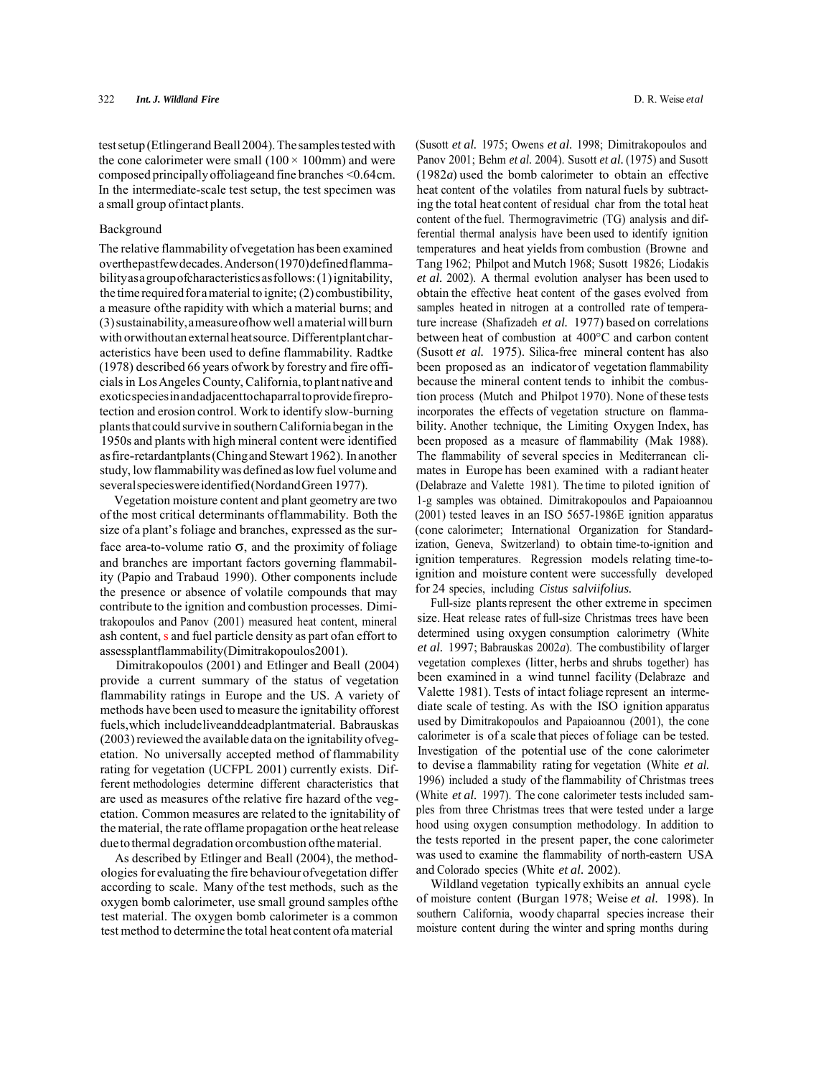test setup (Etlingerand Beall 2004). The samples tested with the cone calorimeter were small  $(100 \times 100$ mm) and were composed principally offoliageand fine branches <0.64cm. In the intermediate-scale test setup, the test specimen was a small group ofintact plants.

# Background

The relative flammability ofvegetation has been examined overthepastfewdecades.Anderson(1970)definedflammability as a group of characteristics as follows: (1) ignitability, the time required for a material to ignite; (2) combustibility, a measure ofthe rapidity with which a material burns; and (3)sustainability, ameasure ofhowwell a materialwill burn with orwithoutanexternalheatsource. Differentplantcharacteristics have been used to define flammability. Radtke (1978) described 66 years ofwork by forestry and fire officialsin LosAngeles County, California,toplant native and exoticspeciesinandadjacenttochaparral toprovidefireprotection and erosion control. Work to identify slow-burning plants that could survive in southern California began in the 1950s and plants with high mineral content were identified asfire-retardantplants(ChingandStewart 1962). Inanother study, low flammability was defined as low fuel volume and severalspecieswere identified(NordandGreen 1977).

Vegetation moisture content and plant geometry are two ofthe most critical determinants offlammability. Both the size of a plant's foliage and branches, expressed as the surface area-to-volume ratio  $\sigma$ , and the proximity of foliage and branches are important factors governing flammability (Papio and Trabaud 1990). Other components include the presence or absence of volatile compounds that may contribute to the ignition and combustion processes. Dimitrakopoulos and Panov (2001) measured heat content, mineral ash content, s and fuel particle density as part ofan effort to assessplantflammability(Dimitrakopoulos2001).

Dimitrakopoulos (2001) and Etlinger and Beall (2004) provide a current summary of the status of vegetation flammability ratings in Europe and the US. A variety of methods have been used to measure the ignitability offorest fuels,which includeliveanddeadplantmaterial. Babrauskas  $(2003)$  reviewed the available data on the ignitability of vegetation. No universally accepted method of flammability rating for vegetation (UCFPL 2001) currently exists. Different methodologies determine different characteristics that are used as measures ofthe relative fire hazard ofthe vegetation. Common measures are related to the ignitability of the material, the rate offlame propagation orthe heatrelease due to thermal degradation or combustion of the material.

As described by Etlinger and Beall (2004), the methodologies for evaluating the fire behaviour ofvegetation differ according to scale. Many ofthe test methods, such as the oxygen bomb calorimeter, use small ground samples ofthe test material. The oxygen bomb calorimeter is a common test method to determine the total heat content ofa material

(Susott *et al.* 1975; Owens *et al.* 1998; Dimitrakopoulos and Panov 2001; Behm *et al.* 2004). Susott *et al.*(1975) and Susott (1982*a*) used the bomb calorimeter to obtain an effective heat content of the volatiles from natural fuels by subtracting the total heat content of residual char from the total heat content of the fuel. Thermogravimetric (TG) analysis and differential thermal analysis have been used to identify ignition temperatures and heat yields from combustion (Browne and Tang 1962; Philpot and Mutch 1968; Susott 19826; Liodakis *et al.* 2002). A thermal evolution analyser has been used to obtain the effective heat content of the gases evolved from samples heated in nitrogen at a controlled rate of temperature increase (Shafizadeh *et al.* 1977) based on correlations between heat of combustion at 400°C and carbon content (Susott *et al.* 1975). Silica-free mineral content has also been proposed as an indicator of vegetation flammability because the mineral content tends to inhibit the combustion process (Mutch and Philpot 1970). None of these tests incorporates the effects of vegetation structure on flammability. Another technique, the Limiting Oxygen Index, has been proposed as a measure of flammability (Mak 1988). The flammability of several species in Mediterranean climates in Europe has been examined with a radiant heater (Delabraze and Valette 1981). The time to piloted ignition of 1-g samples was obtained. Dimitrakopoulos and Papaioannou (2001) tested leaves in an ISO 5657-1986E ignition apparatus (cone calorimeter; International Organization for Standardization, Geneva, Switzerland) to obtain time-to-ignition and ignition temperatures. Regression models relating time-toignition and moisture content were successfully developed for 24 species, including *Cistus salviifolius.*

Full-size plants represent the other extreme in specimen size. Heat release rates of full-size Christmas trees have been determined using oxygen consumption calorimetry (White *et al.* 1997; Babrauskas 2002*a*). The combustibility oflarger vegetation complexes (litter, herbs and shrubs together) has been examined in a wind tunnel facility (Delabraze and Valette 1981). Tests of intact foliage represent an intermediate scale of testing. As with the ISO ignition apparatus used by Dimitrakopoulos and Papaioannou (2001), the cone calorimeter is of a scale that pieces of foliage can be tested. Investigation of the potential use of the cone calorimeter to devise a flammability rating for vegetation (White *et al.* 1996) included a study of the flammability of Christmas trees (White *et al.* 1997). The cone calorimeter tests included samples from three Christmas trees that were tested under a large hood using oxygen consumption methodology. In addition to the tests reported in the present paper, the cone calorimeter was used to examine the flammability of north-eastern USA and Colorado species (White *et al.* 2002).

Wildland vegetation typically exhibits an annual cycle of moisture content (Burgan 1978; Weise *et al.* 1998). In southern California, woody chaparral species increase their moisture content during the winter and spring months during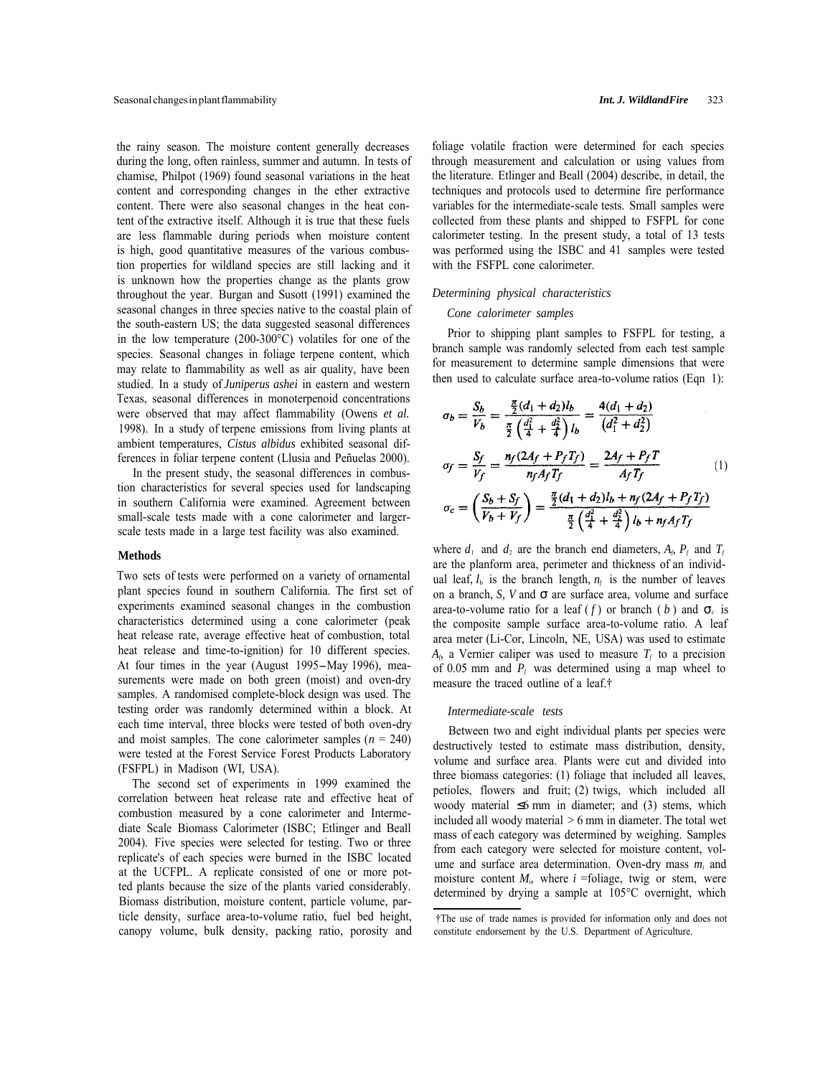the rainy season. The moisture content generally decreases during the long, often rainless, summer and autumn. In tests of chamise, Philpot (1969) found seasonal variations in the heat content and corresponding changes in the ether extractive content. There were also seasonal changes in the heat content of the extractive itself. Although it is true that these fuels are less flammable during periods when moisture content is high, good quantitative measures of the various combustion properties for wildland species are still lacking and it is unknown how the properties change as the plants grow throughout the year. Burgan and Susott (1991) examined the seasonal changes in three species native to the coastal plain of the south-eastern US; the data suggested seasonal differences in the low temperature (200-300°C) volatiles for one of the species. Seasonal changes in foliage terpene content, which may relate to flammability as well as air quality, have been studied. In a study of *Juniperus ashei* in eastern and western Texas, seasonal differences in monoterpenoid concentrations were observed that may affect flammability (Owens *et al.*  1998). In a study of terpene emissions from living plants at ambient temperatures, *Cistus albidus* exhibited seasonal differences in foliar terpene content (Llusia and Peñuelas 2000).

In the present study, the seasonal differences in combustion characteristics for several species used for landscaping in southern California were examined. Agreement between small-scale tests made with a cone calorimeter and largerscale tests made in a large test facility was also examined.

### **Methods**

Two sets of tests were performed on a variety of ornamental plant species found in southern California. The first set of experiments examined seasonal changes in the combustion characteristics determined using a cone calorimeter (peak heat release rate, average effective heat of combustion, total heat release and time-to-ignition) for 10 different species. At four times in the year (August 1995-May 1996), measurements were made on both green (moist) and oven-dry samples. A randomised complete-block design was used. The testing order was randomly determined within a block. At each time interval, three blocks were tested of both oven-dry and moist samples. The cone calorimeter samples  $(n = 240)$ were tested at the Forest Service Forest Products Laboratory (FSFPL) in Madison (WI, USA).

The second set of experiments in 1999 examined the correlation between heat release rate and effective heat of combustion measured by a cone calorimeter and Intermediate Scale Biomass Calorimeter (ISBC; Etlinger and Beall 2004). Five species were selected for testing. Two or three replicate's of each species were burned in the ISBC located at the UCFPL. A replicate consisted of one or more potted plants because the size of the plants varied considerably. Biomass distribution, moisture content, particle volume, particle density, surface area-to-volume ratio, fuel bed height, canopy volume, bulk density, packing ratio, porosity and

foliage volatile fraction were determined for each species through measurement and calculation or using values from the literature. Etlinger and Beall (2004) describe, in detail, the techniques and protocols used to determine fire performance variables for the intermediate-scale tests. Small samples were collected from these plants and shipped to FSFPL for cone calorimeter testing. In the present study, a total of 13 tests was performed using the ISBC and 41 samples were tested with the FSFPL cone calorimeter.

## *Determining physical characteristics*

### *Cone calorimeter samples*

Prior to shipping plant samples to FSFPL for testing, a branch sample was randomly selected from each test sample for measurement to determine sample dimensions that were then used to calculate surface area-to-volume ratios (Eqn 1):

$$
\sigma_b = \frac{S_b}{V_b} = \frac{\frac{\pi}{2}(d_1 + d_2)l_b}{\frac{\pi}{2}\left(\frac{d_1^2}{4} + \frac{d_2^2}{4}\right)l_b} = \frac{4(d_1 + d_2)}{(d_1^2 + d_2^2)}
$$
  

$$
\sigma_f = \frac{S_f}{V_f} = \frac{n_f(2A_f + P_fT_f)}{n_fA_fT_f} = \frac{2A_f + P_fT}{A_fT_f} \tag{1}
$$
  

$$
\sigma_c = \left(\frac{S_b + S_f}{V_b + V_f}\right) = \frac{\frac{\pi}{2}(d_1 + d_2)l_b + n_f(2A_f + P_fT_f)}{\frac{\pi}{2}\left(\frac{d_1^2}{4} + \frac{d_2^2}{4}\right)l_b + n_fA_fT_f}
$$

where  $d_1$  and  $d_2$  are the branch end diameters,  $A_6$   $P_f$  and  $T_f$ are the planform area, perimeter and thickness of an individual leaf,  $l<sub>b</sub>$  is the branch length,  $n<sub>f</sub>$  is the number of leaves on a branch, *S, V* and σ are surface area, volume and surface area-to-volume ratio for a leaf (*f*) or branch (*b*) and  $\sigma_c$  is the composite sample surface area-to-volume ratio. A leaf area meter (Li-Cor, Lincoln, NE, USA) was used to estimate  $A<sub>6</sub>$  a Vernier caliper was used to measure  $T<sub>f</sub>$  to a precision of 0.05 mm and  $P_f$  was determined using a map wheel to measure the traced outline of a leaf.†

### *Intermediate-scale tests*

Between two and eight individual plants per species were destructively tested to estimate mass distribution, density, volume and surface area. Plants were cut and divided into three biomass categories: (1) foliage that included all leaves, petioles, flowers and fruit; (2) twigs, which included all woody material ≤6 mm in diameter; and (3) stems, which included all woody material > 6 mm in diameter. The total wet mass of each category was determined by weighing. Samples from each category were selected for moisture content, volume and surface area determination. Oven-dry mass *mi* and moisture content  $M_i$ , where  $i$  =foliage, twig or stem, were determined by drying a sample at 105°C overnight, which

<sup>†</sup>The use of trade names is provided for information only and does not constitute endorsement by the U.S. Department of Agriculture.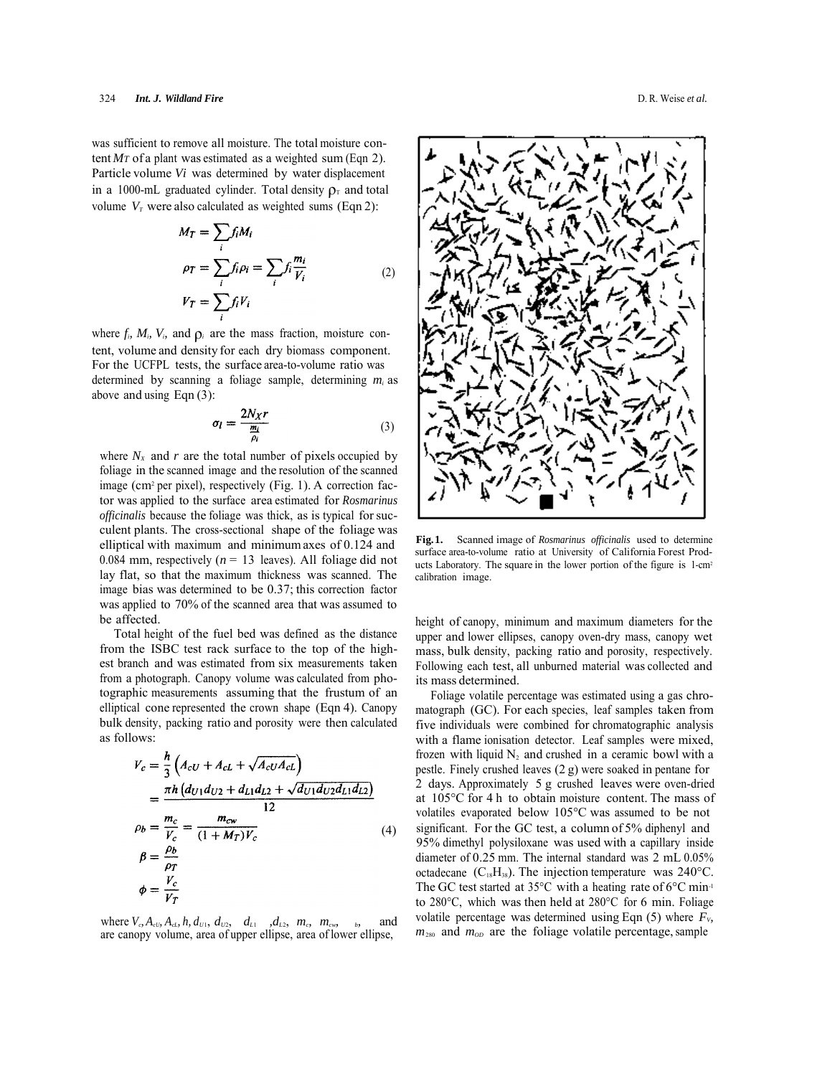was sufficient to remove all moisture. The total moisture content *MT* of a plant was estimated as a weighted sum (Eqn 2). Particle volume *Vi* was determined by water displacement in a 1000-mL graduated cylinder. Total density  $\rho_{\text{T}}$  and total volume  $V<sub>r</sub>$  were also calculated as weighted sums (Eqn 2):

$$
M_T = \sum_i f_i M_i
$$
  
\n
$$
\rho_T = \sum_i f_i \rho_i = \sum_i f_i \frac{m_i}{V_i}
$$
  
\n
$$
V_T = \sum_i f_i V_i
$$
\n(2)

where  $f_i$ ,  $M_i$ ,  $V_i$ , and  $\rho_i$  are the mass fraction, moisture content, volume and density for each dry biomass component. For the UCFPL tests, the surface area-to-volume ratio was determined by scanning a foliage sample, determining *mi* as above and using Eqn (3):

$$
\sigma_l = \frac{2N_X r}{\frac{m_l}{\rho_i}}\tag{3}
$$

where  $N_x$  and  $r$  are the total number of pixels occupied by foliage in the scanned image and the resolution of the scanned image (cm2 per pixel), respectively (Fig. 1). A correction factor was applied to the surface area estimated for *Rosmarinus officinalis* because the foliage was thick, as is typical for succulent plants. The cross-sectional shape of the foliage was elliptical with maximum and minimumaxes of 0.124 and 0.084 mm, respectively  $(n = 13$  leaves). All foliage did not lay flat, so that the maximum thickness was scanned. The image bias was determined to be 0.37; this correction factor was applied to 70% of the scanned area that was assumed to be affected.

Total height of the fuel bed was defined as the distance from the ISBC test rack surface to the top of the highest branch and was estimated from six measurements taken from a photograph. Canopy volume was calculated from photographic measurements assuming that the frustum of an elliptical cone represented the crown shape (Eqn 4). Canopy bulk density, packing ratio and porosity were then calculated as follows:

$$
V_c = \frac{h}{3} \left( A_{cU} + A_{cL} + \sqrt{A_{cU}A_{cL}} \right)
$$
  
= 
$$
\frac{\pi h \left( d_{U1} d_{U2} + d_{L1} d_{L2} + \sqrt{d_{U1} d_{U2} d_{L1} d_{L2}} \right)}{12}
$$
  

$$
\rho_b = \frac{m_c}{V_c} = \frac{m_{cw}}{(1 + M_T) V_c}
$$
  

$$
\beta = \frac{\rho_b}{\rho_T}
$$
  

$$
\phi = \frac{V_c}{V_T}
$$
 (4)

where  $V_c$ ,  $A_{cb}$ ,  $A_{d}$ ,  $h$ ,  $d_{U1}$ ,  $d_{U2}$ ,  $d_{L1}$ ,  $d_{L2}$ ,  $m_c$ ,  $m_{cw}$ ,  $h$ , and are canopy volume, area of upper ellipse, area of lower ellipse,



**Fig.1.** Scanned image of *Rosmarinus officinalis* used to determine surface area-to-volume ratio at University of California Forest Products Laboratory. The square in the lower portion of the figure is 1-cm2 calibration image.

height of canopy, minimum and maximum diameters for the upper and lower ellipses, canopy oven-dry mass, canopy wet mass, bulk density, packing ratio and porosity, respectively. Following each test, all unburned material was collected and its mass determined.

Foliage volatile percentage was estimated using a gas chromatograph (GC). For each species, leaf samples taken from five individuals were combined for chromatographic analysis with a flame ionisation detector. Leaf samples were mixed, frozen with liquid  $N_2$  and crushed in a ceramic bowl with a pestle. Finely crushed leaves (2 g) were soaked in pentane for 2 days. Approximately 5 g crushed leaves were oven-dried at 105°C for 4 h to obtain moisture content. The mass of volatiles evaporated below 105°C was assumed to be not significant. For the GC test, a column of 5% diphenyl and 95% dimethyl polysiloxane was used with a capillary inside diameter of 0.25 mm. The internal standard was 2 mL 0.05% octadecane  $(C_{18}H_{38})$ . The injection temperature was 240°C. The GC test started at 35°C with a heating rate of 6°C min-1 to 280°C, which was then held at 280°C for 6 min. Foliage volatile percentage was determined using Eqn  $(5)$  where  $F<sub>v</sub>$ ,  $m<sub>280</sub>$  and  $m<sub>OD</sub>$  are the foliage volatile percentage, sample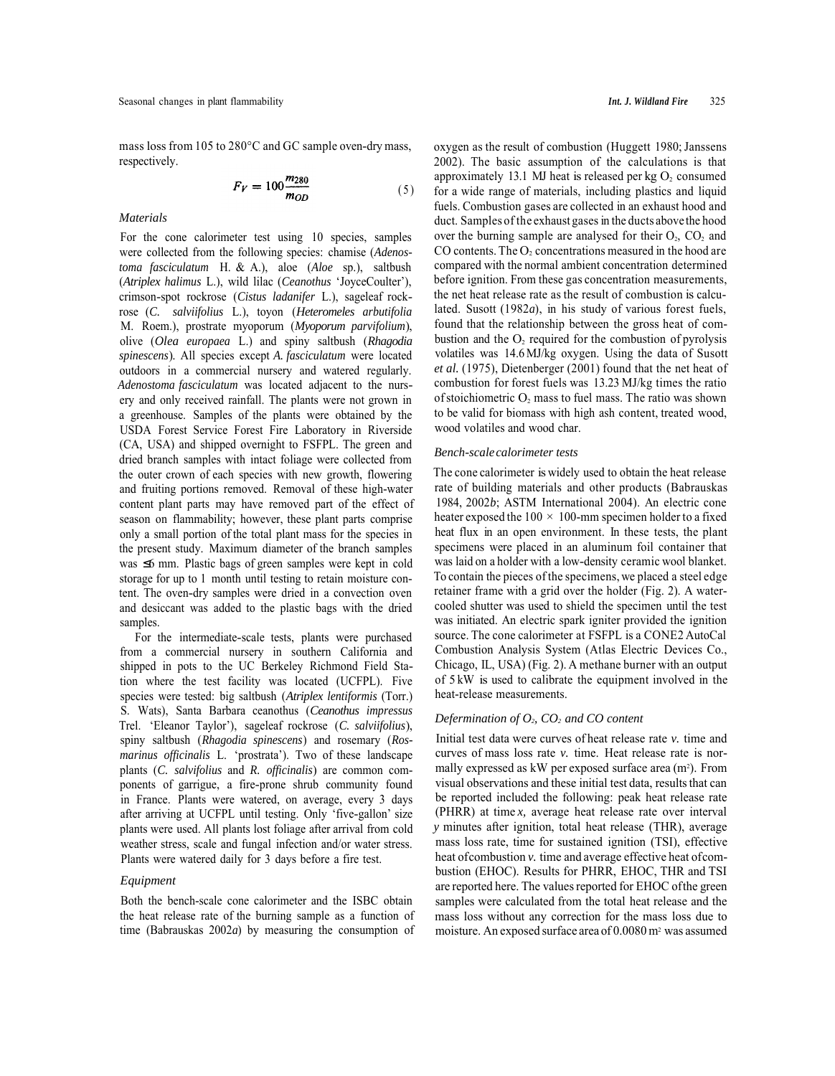mass loss from 105 to 280°C and GC sample oven-dry mass, respectively.

$$
F_V = 100 \frac{m_{280}}{m_{OD}}\tag{5}
$$

# *Materials*

For the cone calorimeter test using 10 species, samples were collected from the following species: chamise (*Adenostoma fasciculatum* H. & A.), aloe (*Aloe* sp.), saltbush (*Atriplex halimus* L.), wild lilac (*Ceanothus* 'JoyceCoulter'), crimson-spot rockrose (*Cistus ladanifer* L.), sageleaf rockrose (*C. salviifolius* L.), toyon (*Heteromeles arbutifolia*  M. Roem.), prostrate myoporum (*Myoporum parvifolium*), olive (*Olea europaea* L.) and spiny saltbush (*Rhagodia spinescens*). All species except *A. fasciculatum* were located outdoors in a commercial nursery and watered regularly. *Adenostoma fasciculatum* was located adjacent to the nursery and only received rainfall. The plants were not grown in a greenhouse. Samples of the plants were obtained by the USDA Forest Service Forest Fire Laboratory in Riverside (CA, USA) and shipped overnight to FSFPL. The green and dried branch samples with intact foliage were collected from the outer crown of each species with new growth, flowering and fruiting portions removed. Removal of these high-water content plant parts may have removed part of the effect of season on flammability; however, these plant parts comprise only a small portion of the total plant mass for the species in the present study. Maximum diameter of the branch samples was ≤6 mm. Plastic bags of green samples were kept in cold storage for up to 1 month until testing to retain moisture content. The oven-dry samples were dried in a convection oven and desiccant was added to the plastic bags with the dried samples.

For the intermediate-scale tests, plants were purchased from a commercial nursery in southern California and shipped in pots to the UC Berkeley Richmond Field Station where the test facility was located (UCFPL). Five species were tested: big saltbush (*Atriplex lentiformis* (Torr.) S. Wats), Santa Barbara ceanothus (*Ceanothus impressus*  Trel. 'Eleanor Taylor'), sageleaf rockrose (*C. salviifolius*), spiny saltbush (*Rhagodia spinescens*) and rosemary (*Rosmarinus officinalis* L. 'prostrata'). Two of these landscape plants (*C. salvifolius* and *R. officinalis*) are common components of garrigue, a fire-prone shrub community found in France. Plants were watered, on average, every 3 days after arriving at UCFPL until testing. Only 'five-gallon' size plants were used. All plants lost foliage after arrival from cold weather stress, scale and fungal infection and/or water stress. Plants were watered daily for 3 days before a fire test.

### *Equipment*

Both the bench-scale cone calorimeter and the ISBC obtain the heat release rate of the burning sample as a function of time (Babrauskas 2002*a*) by measuring the consumption of oxygen as the result of combustion (Huggett 1980; Janssens 2002). The basic assumption of the calculations is that approximately 13.1 MJ heat is released per  $kg O<sub>2</sub>$  consumed for a wide range of materials, including plastics and liquid fuels. Combustion gases are collected in an exhaust hood and duct. Samples of the exhaust gases in the ducts above the hood over the burning sample are analysed for their  $O_2$ ,  $CO_2$  and CO contents. The  $O_2$  concentrations measured in the hood are compared with the normal ambient concentration determined before ignition. From these gas concentration measurements, the net heat release rate as the result of combustion is calculated. Susott (1982*a*), in his study of various forest fuels, found that the relationship between the gross heat of combustion and the  $O<sub>2</sub>$  required for the combustion of pyrolysis volatiles was 14.6 MJ/kg oxygen. Using the data of Susott *et al.* (1975), Dietenberger (2001) found that the net heat of combustion for forest fuels was 13.23 MJ/kg times the ratio of stoichiometric  $O_2$  mass to fuel mass. The ratio was shown to be valid for biomass with high ash content, treated wood, wood volatiles and wood char.

### *Bench-scale calorimeter tests*

The cone calorimeter is widely used to obtain the heat release rate of building materials and other products (Babrauskas 1984, 2002*b*; ASTM International 2004). An electric cone heater exposed the  $100 \times 100$ -mm specimen holder to a fixed heat flux in an open environment. In these tests, the plant specimens were placed in an aluminum foil container that was laid on a holder with a low-density ceramic wool blanket. To contain the pieces of the specimens, we placed a steel edge retainer frame with a grid over the holder (Fig. 2). A watercooled shutter was used to shield the specimen until the test was initiated. An electric spark igniter provided the ignition source. The cone calorimeter at FSFPL is a CONE2 AutoCal Combustion Analysis System (Atlas Electric Devices Co., Chicago, IL, USA) (Fig. 2). A methane burner with an output of 5 kW is used to calibrate the equipment involved in the heat-release measurements.

### *Defermination of O2, CO2 and CO content*

Initial test data were curves of heat release rate *v.* time and curves of mass loss rate *v.* time. Heat release rate is normally expressed as  $kW$  per exposed surface area (m<sup>2</sup>). From visual observations and these initial test data, results that can be reported included the following: peak heat release rate (PHRR) at time *x,* average heat release rate over interval *y* minutes after ignition, total heat release (THR), average mass loss rate, time for sustained ignition (TSI), effective heat of combustion *v*. time and average effective heat of combustion (EHOC). Results for PHRR, EHOC, THR and TSI are reported here. The values reported for EHOC ofthe green samples were calculated from the total heat release and the mass loss without any correction for the mass loss due to moisture. An exposed surface area of 0.0080 m2 was assumed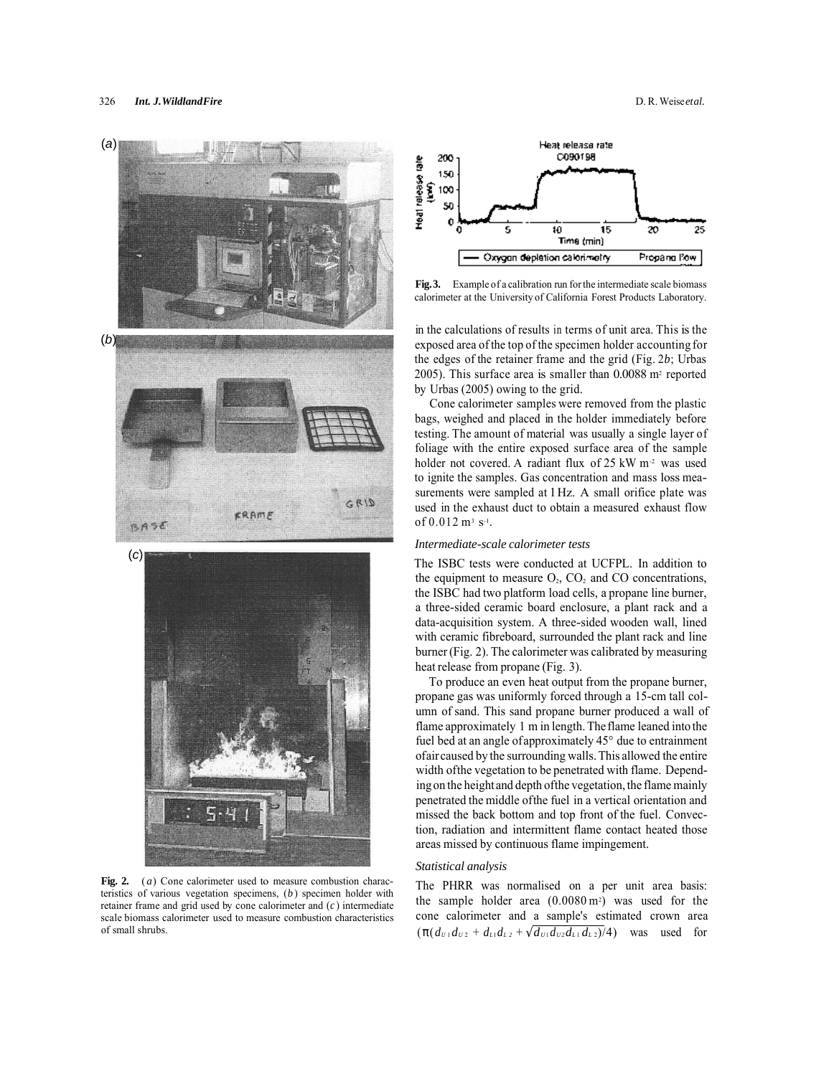

Fig. 2. (*a*) Cone calorimeter used to measure combustion characteristics of various vegetation specimens, (b) specimen holder with retainer frame and grid used by cone calorimeter and (*c* ) intermediate scale biomass calorimeter used to measure combustion characteristics of small shrubs.



**Fig. 3.** Example of a calibration run for the intermediate scale biomass calorimeter at the University of California Forest Products Laboratory.

in the calculations of results in terms of unit area. This is the exposed area of the top of the specimen holder accounting for the edges of the retainer frame and the grid (Fig. 2*b*; Urbas 2005). This surface area is smaller than 0.0088 m2 reported by Urbas (2005) owing to the grid.

Cone calorimeter samples were removed from the plastic bags, weighed and placed in the holder immediately before testing. The amount of material was usually a single layer of foliage with the entire exposed surface area of the sample holder not covered. A radiant flux of 25 kW m<sup>-2</sup> was used to ignite the samples. Gas concentration and mass loss measurements were sampled at 1 Hz. A small orifice plate was used in the exhaust duct to obtain a measured exhaust flow of  $0.012 \text{ m}^3 \text{ s}^{-1}$ .

#### *Intermediate-scale calorimeter tests*

The ISBC tests were conducted at UCFPL. In addition to the equipment to measure  $O_2$ ,  $CO_2$  and  $CO$  concentrations, the ISBC had two platform load cells, a propane line burner, a three-sided ceramic board enclosure, a plant rack and a data-acquisition system. A three-sided wooden wall, lined with ceramic fibreboard, surrounded the plant rack and line burner (Fig. 2). The calorimeter was calibrated by measuring heat release from propane (Fig. 3).

To produce an even heat output from the propane burner, propane gas was uniformly forced through a 15-cm tall column of sand. This sand propane burner produced a wall of flame approximately 1 m in length. The flame leaned into the fuel bed at an angle of approximately 45° due to entrainment ofair caused by the surrounding walls. This allowed the entire width ofthe vegetation to be penetrated with flame. Depending on the height and depth ofthe vegetation, the flame mainly penetrated the middle ofthe fuel in a vertical orientation and missed the back bottom and top front of the fuel. Convection, radiation and intermittent flame contact heated those areas missed by continuous flame impingement.

# *Statistical analysis*

The PHRR was normalised on a per unit area basis: the sample holder area  $(0.0080 \text{ m}^2)$  was used for the cone calorimeter and a sample's estimated crown area  $(\pi(d_{U_1}d_{U_2} + d_{L1}d_{L2} + \sqrt{d_{U_1}d_{U_2}d_{L1}d_{L2}})/4)$  was used for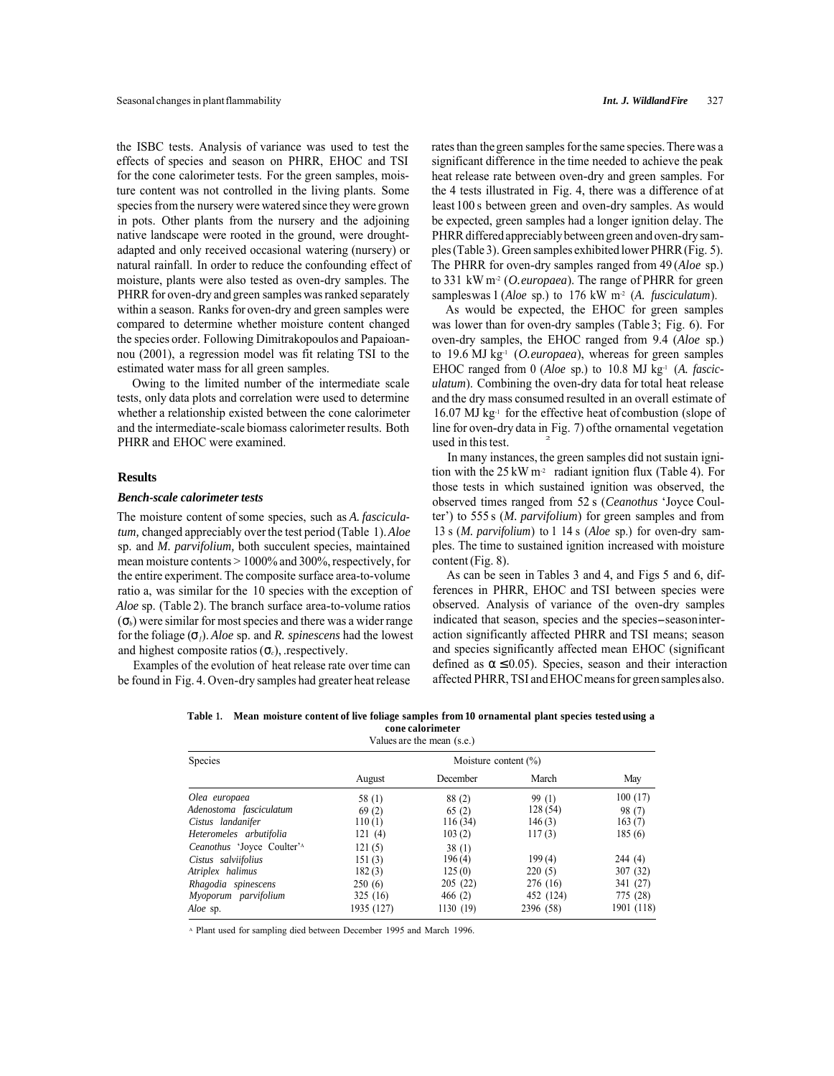the ISBC tests. Analysis of variance was used to test the effects of species and season on PHRR, EHOC and TSI for the cone calorimeter tests. For the green samples, moisture content was not controlled in the living plants. Some species from the nursery were watered since they were grown in pots. Other plants from the nursery and the adjoining native landscape were rooted in the ground, were droughtadapted and only received occasional watering (nursery) or natural rainfall. In order to reduce the confounding effect of moisture, plants were also tested as oven-dry samples. The PHRR for oven-dry and green samples was ranked separately within a season. Ranks for oven-dry and green samples were compared to determine whether moisture content changed the species order. Following Dimitrakopoulos and Papaioannou (2001), a regression model was fit relating TSI to the estimated water mass for all green samples.

Owing to the limited number of the intermediate scale tests, only data plots and correlation were used to determine whether a relationship existed between the cone calorimeter and the intermediate-scale biomass calorimeter results. Both PHRR and EHOC were examined.

### **Results**

### *Bench-scale calorimeter tests*

The moisture content of some species, such as *A. fasciculatum,* changed appreciably over the test period (Table 1). *Aloe*  sp. and *M. parvifolium,* both succulent species, maintained mean moisture contents > 1000% and 300%, respectively, for the entire experiment. The composite surface area-to-volume ratio a, was similar for the 10 species with the exception of *Aloe* sp. (Table 2). The branch surface area-to-volume ratios  $(\sigma_b)$  were similar for most species and there was a wider range for the foliage  $(\sigma_i)$ . *Aloe* sp. and *R. spinescens* had the lowest and highest composite ratios  $(\sigma_c)$ , respectively.

Examples of the evolution of heat release rate over time can be found in Fig. 4. Oven-dry samples had greater heat release rates than the green samples for the same species. There was a significant difference in the time needed to achieve the peak heat release rate between oven-dry and green samples. For the 4 tests illustrated in Fig. 4, there was a difference of at least 100 s between green and oven-dry samples. As would be expected, green samples had a longer ignition delay. The PHRR differed appreciably between green and oven-dry samples (Table 3). Green samples exhibited lower PHRR (Fig. 5). The PHRR for oven-dry samples ranged from 49 (*Aloe* sp.) to 331 kW m-2 (*O.europaea*). The range of PHRR for green sampleswas 1 (*Aloe* sp.) to 176 kW m<sup>-2</sup> (*A. fusciculatum*).

As would be expected, the EHOC for green samples was lower than for oven-dry samples (Table 3; Fig. 6). For oven-dry samples, the EHOC ranged from 9.4 (*Aloe* sp.) to 19.6 MJ kg-1 (*O.europaea*), whereas for green samples EHOC ranged from 0 (*Aloe* sp.) to 10.8 MJ kg<sup>-1</sup> (*A. fasciculatum*). Combining the oven-dry data for total heat release and the dry mass consumed resulted in an overall estimate of 16.07 MJ kg-1 for the effective heat of combustion (slope of line for oven-dry data in Fig. 7) of the ornamental vegetation used in this test.

In many instances, the green samples did not sustain ignition with the  $25 \text{ kW m}^2$  radiant ignition flux (Table 4). For those tests in which sustained ignition was observed, the observed times ranged from 52 s (*Ceanothus* 'Joyce Coulter') to 555 s (*M. parvifolium*) for green samples and from 13 s (*M. parvifolium*) to 1 14 s (*Aloe* sp.) for oven-dry samples. The time to sustained ignition increased with moisture content (Fig. 8).

As can be seen in Tables 3 and 4, and Figs 5 and 6, differences in PHRR, EHOC and TSI between species were observed. Analysis of variance of the oven-dry samples indicated that season, species and the species-seasoninteraction significantly affected PHRR and TSI means; season and species significantly affected mean EHOC (significant defined as  $\alpha \le 0.05$ ). Species, season and their interaction affected PHRR, TSI and EHOC means for green samples also.

| Table 1. Mean moisture content of live foliage samples from 10 ornamental plant species tested using a |
|--------------------------------------------------------------------------------------------------------|
| cone calorimeter                                                                                       |

Values are the mean (s.e.)

| Species                                | Moisture content $(\%)$ |           |           |            |  |  |  |  |
|----------------------------------------|-------------------------|-----------|-----------|------------|--|--|--|--|
|                                        | August                  | December  | March     | May        |  |  |  |  |
| Olea europaea                          | 58 $(1)$                | 88(2)     | 99 (1)    | 100(17)    |  |  |  |  |
| Adenostoma fasciculatum                | 69(2)                   | 65(2)     | 128(54)   | 98 (7)     |  |  |  |  |
| Cistus landanifer                      | 110(1)                  | 116(34)   | 146(3)    | 163(7)     |  |  |  |  |
| Heteromeles arbutifolia                | 121(4)                  | 103(2)    | 117(3)    | 185(6)     |  |  |  |  |
| Ceanothus 'Joyce Coulter' <sup>A</sup> | 121(5)                  | 38(1)     |           |            |  |  |  |  |
| Cistus salviifolius                    | 151(3)                  | 196(4)    | 199(4)    | 244(4)     |  |  |  |  |
| Atriplex halimus                       | 182(3)                  | 125(0)    | 220(5)    | 307 (32)   |  |  |  |  |
| Rhagodia spinescens                    | 250(6)                  | 205(22)   | 276 (16)  | 341 (27)   |  |  |  |  |
| Myoporum parvifolium                   | 325(16)                 | 466(2)    | 452 (124) | 775 (28)   |  |  |  |  |
| Aloe sp.                               | 1935 (127)              | 1130 (19) | 2396 (58) | 1901 (118) |  |  |  |  |

A Plant used for sampling died between December 1995 and March 1996.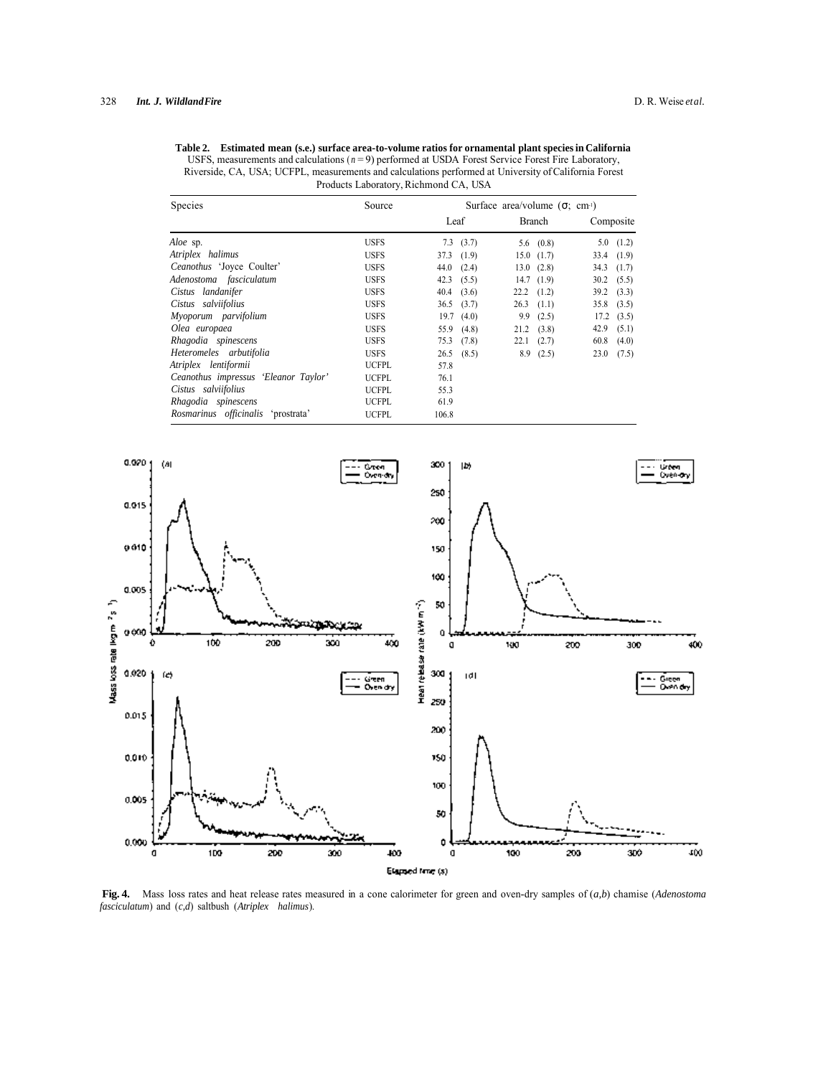| Species                              | Source       |       |                | Surface area/volume $(\sigma; \text{ cm}^{\text{-}})$ |                |  |                    |
|--------------------------------------|--------------|-------|----------------|-------------------------------------------------------|----------------|--|--------------------|
|                                      |              | Leaf  |                | Branch                                                |                |  | Composite          |
| Aloe sp.                             | <b>USFS</b>  |       | $7.3$ $(3.7)$  |                                                       | $5.6$ $(0.8)$  |  | $5.0$ $(1.2)$      |
| Atriplex halimus                     | <b>USFS</b>  |       | $37.3$ $(1.9)$ |                                                       | 15.0(1.7)      |  | $33.4$ $(1.9)$     |
| Ceanothus 'Joyce Coulter'            | <b>USFS</b>  |       | $44.0$ $(2.4)$ |                                                       | 13.0(2.8)      |  | $34.3$ $(1.7)$     |
| Adenostoma fasciculatum              | <b>USFS</b>  |       | $42.3$ $(5.5)$ |                                                       | $14.7$ $(1.9)$ |  | 30.2 (5.5)         |
| Cistus landanifer                    | <b>USFS</b>  |       | $40.4$ $(3.6)$ |                                                       | $22.2$ $(1.2)$ |  | $39.2 \quad (3.3)$ |
| Cistus salviifolius                  | <b>USFS</b>  |       | $36.5$ $(3.7)$ |                                                       | $26.3$ $(1.1)$ |  | $35.8$ $(3.5)$     |
| Myoporum parvifolium                 | <b>USFS</b>  |       | 19.7 (4.0)     |                                                       | 9.9(2.5)       |  | $17.2 \quad (3.5)$ |
| Olea europaea                        | <b>USFS</b>  |       | $55.9$ $(4.8)$ |                                                       | $21.2$ $(3.8)$ |  | $42.9$ $(5.1)$     |
| Rhagodia spinescens                  | <b>USFS</b>  |       | $75.3$ $(7.8)$ |                                                       | $22.1$ $(2.7)$ |  | $60.8$ $(4.0)$     |
| Heteromeles arbutifolia              | <b>USFS</b>  |       | $26.5$ $(8.5)$ |                                                       | $8.9$ $(2.5)$  |  | $23.0$ $(7.5)$     |
| Atriplex lentiformii                 | <b>UCFPL</b> | 57.8  |                |                                                       |                |  |                    |
| Ceanothus impressus 'Eleanor Taylor' | <b>UCFPL</b> | 76.1  |                |                                                       |                |  |                    |
| Cistus salviifolius                  | <b>UCFPL</b> | 55.3  |                |                                                       |                |  |                    |
| Rhagodia spinescens                  | <b>UCFPL</b> | 61.9  |                |                                                       |                |  |                    |
| Rosmarinus officinalis 'prostrata'   | <b>UCFPL</b> | 106.8 |                |                                                       |                |  |                    |

**Table 2. Estimated mean (s.e.) surface area-to-volume ratios for ornamental plant species in California**  USFS, measurements and calculations ( $n = 9$ ) performed at USDA Forest Service Forest Fire Laboratory, Riverside, CA, USA; UCFPL, measurements and calculations performed at University of California Forest Products Laboratory, Richmond CA, USA



**Fig. 4.** Mass loss rates and heat release rates measured in a cone calorimeter for green and oven-dry samples of (*a,b*) chamise (*Adenostoma fasciculatum*) and (*c,d*) saltbush (*Atriplex halimus*).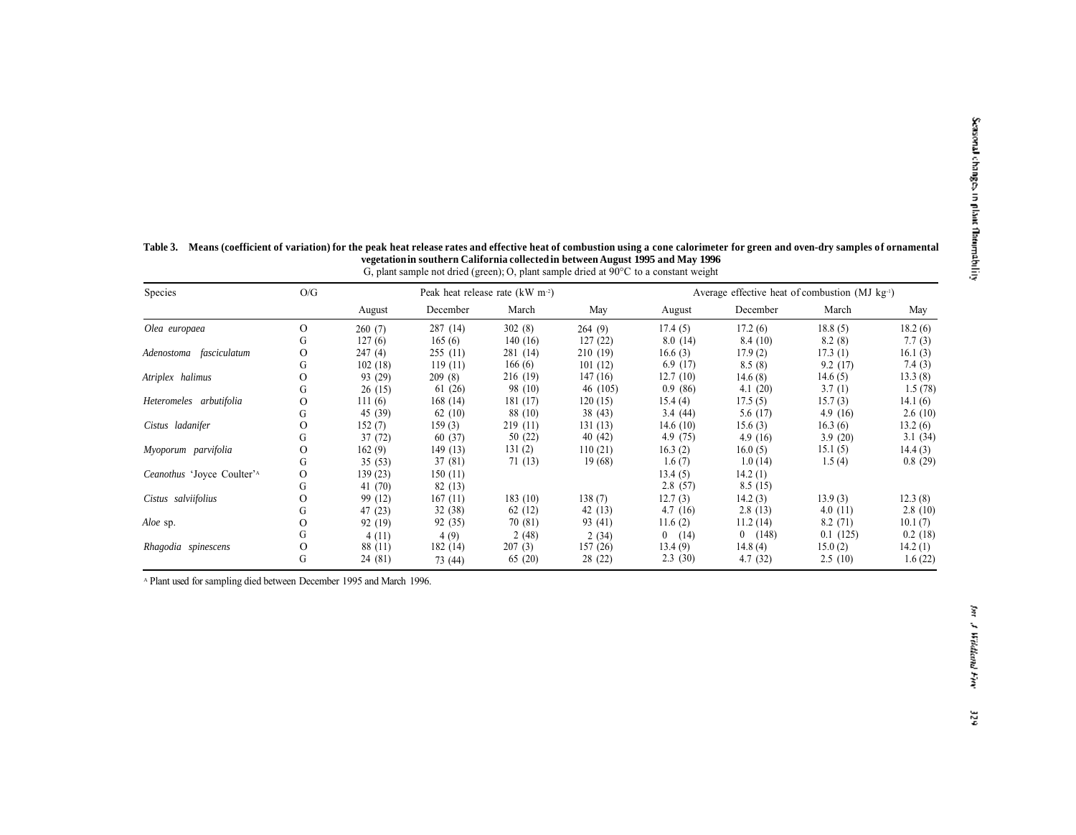| Species                                | O/G |          |          | Peak heat release rate $(kW m-2)$ |          |                  | Average effective heat of combustion $(MJ kg-1)$ |            |            |  |  |
|----------------------------------------|-----|----------|----------|-----------------------------------|----------|------------------|--------------------------------------------------|------------|------------|--|--|
|                                        |     | August   | December | March                             | May      | August           | December                                         | March      | May        |  |  |
| Olea europaea                          | O   | 260(7)   | 287(14)  | 302(8)                            | 264(9)   | 17.4(5)          | 17.2(6)                                          | 18.8(5)    | 18.2(6)    |  |  |
|                                        | G   | 127(6)   | 165(6)   | 140(16)                           | 127(22)  | 8.0(14)          | 8.4(10)                                          | 8.2(8)     | 7.7(3)     |  |  |
| Adenostoma fasciculatum                | O   | 247(4)   | 255(11)  | 281 (14)                          | 210 (19) | 16.6(3)          | 17.9(2)                                          | 17.3(1)    | 16.1 $(3)$ |  |  |
|                                        | G   | 102(18)  | 119(11)  | 166(6)                            | 101(12)  | 6.9(17)          | 8.5(8)                                           | 9.2(17)    | 7.4(3)     |  |  |
| Atriplex halimus                       | О   | 93 (29)  | 209(8)   | 216 (19)                          | 147(16)  | 12.7(10)         | 14.6(8)                                          | 14.6 (5)   | 13.3(8)    |  |  |
|                                        | G   | 26(15)   | 61 (26)  | 98 (10)                           | 46 (105) | 0.9(86)          | 4.1 $(20)$                                       | 3.7(1)     | 1.5(78)    |  |  |
| Heteromeles arbutifolia                | О   | 111 (6)  | 168 (14) | 181(17)                           | 120(15)  | 15.4(4)          | 17.5(5)                                          | 15.7(3)    | 14.1(6)    |  |  |
|                                        | G   | 45 (39)  | 62(10)   | 88 (10)                           | 38 (43)  | 3.4(44)          | 5.6 $(17)$                                       | 4.9 $(16)$ | 2.6(10)    |  |  |
| Cistus ladanifer                       | О   | 152 (7)  | 159(3)   | 219(11)                           | 131(13)  | 14.6 $(10)$      | 15.6(3)                                          | 16.3(6)    | 13.2(6)    |  |  |
|                                        | G   | 37 (72)  | 60(37)   | 50(22)                            | 40 (42)  | 4.9(75)          | 4.9(16)                                          | 3.9(20)    | 3.1(34)    |  |  |
| Myoporum parvifolia                    | O   | 162(9)   | 149 (13) | 131(2)                            | 110(21)  | 16.3(2)          | 16.0(5)                                          | 15.1(5)    | 14.4(3)    |  |  |
|                                        | Ü   | 35(53)   | 37 (81)  | 71 (13)                           | 19(68)   | 1.6(7)           | 1.0(14)                                          | 1.5(4)     | 0.8(29)    |  |  |
| Ceanothus 'Joyce Coulter' <sup>A</sup> | O   | 139 (23) | 150(11)  |                                   |          | 13.4(5)          | 14.2(1)                                          |            |            |  |  |
|                                        | G   | 41 (70)  | 82(13)   |                                   |          | 2.8(57)          | 8.5(15)                                          |            |            |  |  |
| Cistus salviifolius                    | 0   | 99 (12)  | 167(11)  | 183(10)                           | 138(7)   | 12.7(3)          | 14.2(3)                                          | 13.9(3)    | 12.3(8)    |  |  |
|                                        | G   | 47 (23)  | 32(38)   | 62(12)                            | 42 (13)  | 4.7(16)          | 2.8(13)                                          | 4.0(11)    | 2.8(10)    |  |  |
| Aloe sp.                               | О   | 92 (19)  | 92 (35)  | 70 (81)                           | 93 (41)  | 11.6 $(2)$       | 11.2(14)                                         | 8.2(71)    | 10.1(7)    |  |  |
|                                        | G   | 4(11)    | 4(9)     | 2(48)                             | 2(34)    | (14)<br>$\theta$ | 0(148)                                           | 0.1(125)   | 0.2(18)    |  |  |
| Rhagodia spinescens                    | О   | 88 (11)  | 182(14)  | 207(3)                            | 157(26)  | 13.4(9)          | 14.8(4)                                          | 15.0(2)    | 14.2(1)    |  |  |
|                                        | G   | 24 (81)  | 73 (44)  | 65 (20)                           | 28 (22)  | 2.3(30)          | 4.7(32)                                          | 2.5(10)    | 1.6(22)    |  |  |

| <b>Table</b>                                                                    | Means (coefficient of variation) for the neak heat release rates and effective heat of combustion using a cone calorimeter for green and oven-dry samples of ornamental |  |  |  |  |  |  |
|---------------------------------------------------------------------------------|-------------------------------------------------------------------------------------------------------------------------------------------------------------------------|--|--|--|--|--|--|
| vegetation in southern California collected in between August 1995 and May 1996 |                                                                                                                                                                         |  |  |  |  |  |  |
|                                                                                 | G, plant sample not dried (green): $\Omega$ , plant sample dried at $00\degree C$ to a constant weight                                                                  |  |  |  |  |  |  |

A Plant used for sampling died between December 1995 and March 1996.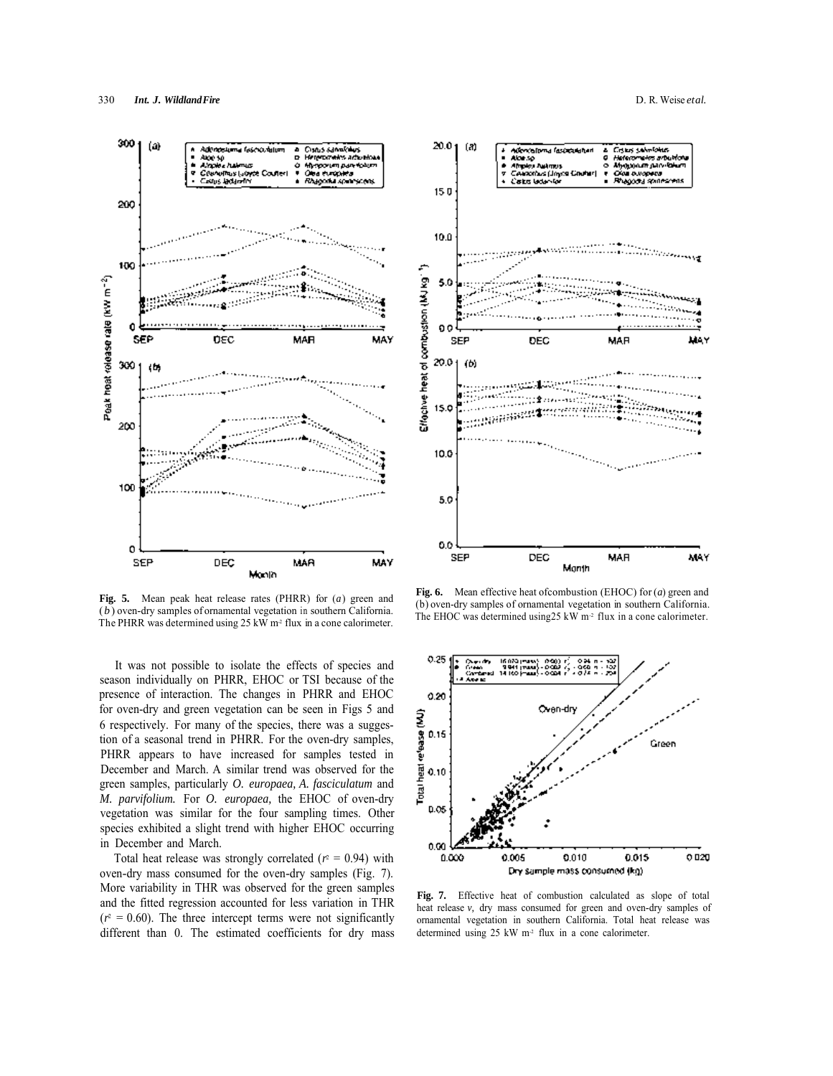

Fig. 5. Mean peak heat release rates (PHRR) for (*a*) green and ( *b* ) oven-dry samples of ornamental vegetation in southern California. The PHRR was determined using  $25 \text{ kW} \text{ m}^2$  flux in a cone calorimeter.

It was not possible to isolate the effects of species and season individually on PHRR, EHOC or TSI because of the presence of interaction. The changes in PHRR and EHOC for oven-dry and green vegetation can be seen in Figs 5 and 6 respectively. For many of the species, there was a suggestion of a seasonal trend in PHRR. For the oven-dry samples, PHRR appears to have increased for samples tested in December and March. A similar trend was observed for the green samples, particularly *O. europaea, A. fasciculatum* and *M. parvifolium.* For *O. europaea,* the EHOC of oven-dry vegetation was similar for the four sampling times. Other species exhibited a slight trend with higher EHOC occurring in December and March.

Total heat release was strongly correlated ( $r^2 = 0.94$ ) with oven-dry mass consumed for the oven-dry samples (Fig. 7). More variability in THR was observed for the green samples and the fitted regression accounted for less variation in THR  $(r^2 = 0.60)$ . The three intercept terms were not significantly different than 0. The estimated coefficients for dry mass



**Fig. 6.** Mean effective heat ofcombustion (EHOC) for (*a*) green and (b) oven-dry samples of ornamental vegetation in southern California. The EHOC was determined using 25 kW m<sup>-2</sup> flux in a cone calorimeter.



**Fig. 7.** Effective heat of combustion calculated as slope of total heat release *v,* dry mass consumed for green and oven-dry samples of ornamental vegetation in southern California. Total heat release was determined using 25 kW m-2 flux in a cone calorimeter.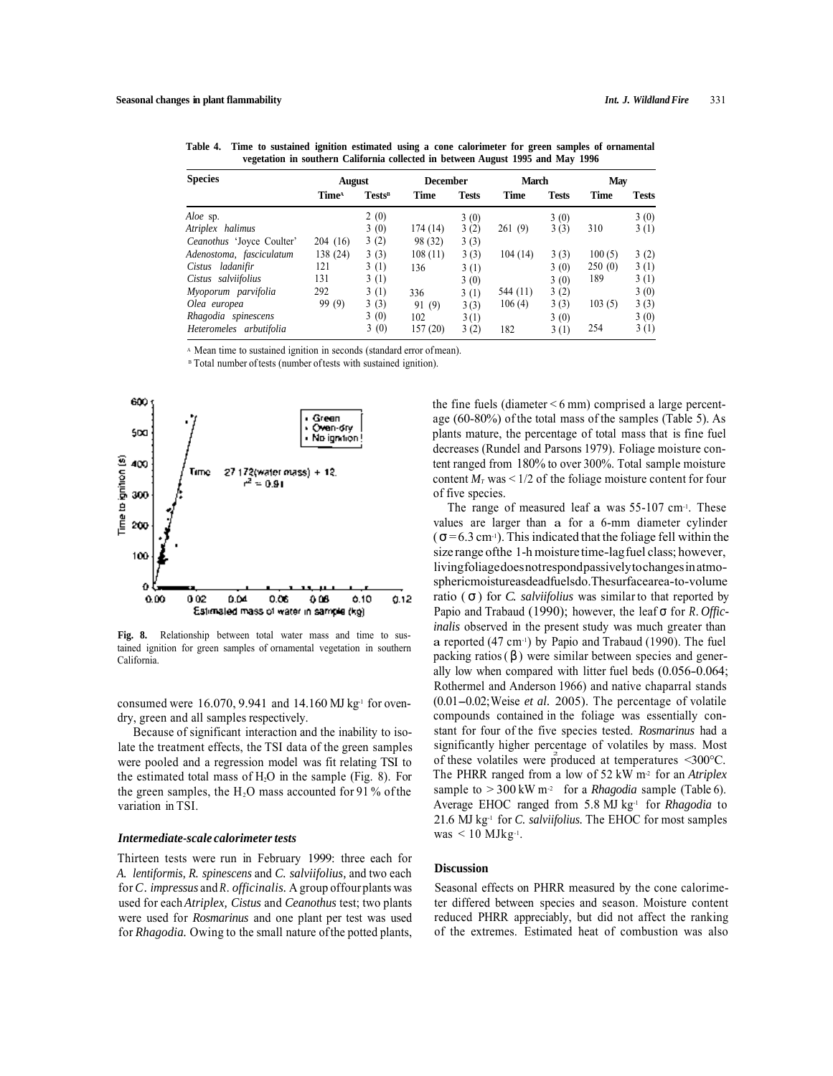| <b>Species</b>            | August            |                           | <b>December</b> |              | March       |              | May         |              |
|---------------------------|-------------------|---------------------------|-----------------|--------------|-------------|--------------|-------------|--------------|
|                           | Time <sup>A</sup> | <b>Tests</b> <sup>B</sup> | <b>Time</b>     | <b>Tests</b> | <b>Time</b> | <b>Tests</b> | <b>Time</b> | <b>Tests</b> |
| Aloe sp.                  |                   | 2(0)                      |                 | 3(0)         |             | 3(0)         |             | 3(0)         |
| Atriplex halimus          |                   | 3(0)                      | 174(14)         | 3(2)         | 261(9)      | 3(3)         | 310         | 3(1)         |
| Ceanothus 'Joyce Coulter' | 204 (16)          | 3(2)                      | 98 (32)         | 3(3)         |             |              |             |              |
| Adenostoma, fasciculatum  | 138 (24)          | 3(3)                      | 108(11)         | 3(3)         | 104(14)     | 3(3)         | 100(5)      | 3(2)         |
| Cistus ladanifir          | 121               | 3(1)                      | 136             | 3(1)         |             | 3(0)         | 250(0)      | 3(1)         |
| Cistus salviifolius       | 131               | 3(1)                      |                 | 3(0)         |             | 3(0)         | 189         | 3(1)         |
| Myoporum parvifolia       | 292               | 3(1)                      | 336             | 3(1)         | 544 (11)    | 3(2)         |             | 3(0)         |
| Olea europea              | 99 (9)            | 3(3)                      | 91 (9)          | 3(3)         | 106(4)      | 3(3)         | 103(5)      | 3(3)         |
| Rhagodia spinescens       |                   | 3(0)                      | 102             | 3(1)         |             | 3(0)         |             | 3(0)         |
| Heteromeles arbutifolia   |                   | 3(0)                      | 157 (20)        | 3(2)         | 182         | 3(1)         | 254         | 3(1)         |

**Table 4. Time to sustained ignition estimated using a cone calorimeter for green samples of ornamental vegetation in southern California collected in between August 1995 and May 1996** 

A Mean time to sustained ignition in seconds (standard error of mean).

B Total number of tests (number of tests with sustained ignition).



**Fig. 8.** Relationship between total water mass and time to sustained ignition for green samples of ornamental vegetation in southern California.

consumed were  $16.070$ , 9.941 and  $14.160$  MJ kg<sup>-1</sup> for ovendry, green and all samples respectively.

Because of significant interaction and the inability to isolate the treatment effects, the TSI data of the green samples were pooled and a regression model was fit relating TSI to the estimated total mass of  $H_2O$  in the sample (Fig. 8). For the green samples, the  $H_2O$  mass accounted for 91 % of the variation in TSI.

#### *Intermediate-scale calorimeter tests*

Thirteen tests were run in February 1999: three each for *A. lentiformis, R. spinescens* and *C. salviifolius,* and two each for *C. impressus* and *R. officinalis.* A group offour plants was used for each *Atriplex, Cistus* and *Ceanothus* test; two plants were used for *Rosmarinus* and one plant per test was used for *Rhagodia.* Owing to the small nature of the potted plants,

the fine fuels (diameter  $\leq 6$  mm) comprised a large percentage (60-80%) of the total mass of the samples (Table 5). As plants mature, the percentage of total mass that is fine fuel decreases (Rundel and Parsons 1979). Foliage moisture content ranged from 180% to over 300%. Total sample moisture content  $M<sub>T</sub>$  was < 1/2 of the foliage moisture content for four of five species.

The range of measured leaf a was 55-107 cm-1. These values are larger than a for a 6-mm diameter cylinder  $(\sigma = 6.3 \text{ cm}^{-1})$ . This indicated that the foliage fell within the size range ofthe 1-h moisture time-lagfuel class; however, livingfoliagedoesnotrespondpassivelytochanges in atmosphericmoistureasdeadfuelsdo.Thesurfacearea-to-volume ratio  $(\sigma)$  for *C. salviifolius* was similar to that reported by Papio and Trabaud (1990); however, the leaf σ for *R. Officinalis* observed in the present study was much greater than a reported (47 cm-1) by Papio and Trabaud (1990). The fuel packing ratios  $(\beta)$  were similar between species and generally low when compared with litter fuel beds (0.056-0.064; Rothermel and Anderson 1966) and native chaparral stands (0.01-0.02; Weise *et al.* 2005). The percentage of volatile compounds contained in the foliage was essentially constant for four of the five species tested. *Rosmarinus* had a significantly higher percentage of volatiles by mass. Most of these volatiles were produced at temperatures  $\leq 300^{\circ}$ C. The PHRR ranged from a low of 52 kW m<sup>-2</sup> for an *Atriplex* sample to > 300 kW m-2 for a *Rhagodia* sample (Table 6). Average EHOC ranged from 5.8 MJ kg-1 for *Rhagodia* to 21.6 MJ kg-1 for *C. salviifolius.* The EHOC for most samples was  $\leq 10$  MJkg<sup>-1</sup>.

# **Discussion**

Seasonal effects on PHRR measured by the cone calorimeter differed between species and season. Moisture content reduced PHRR appreciably, but did not affect the ranking of the extremes. Estimated heat of combustion was also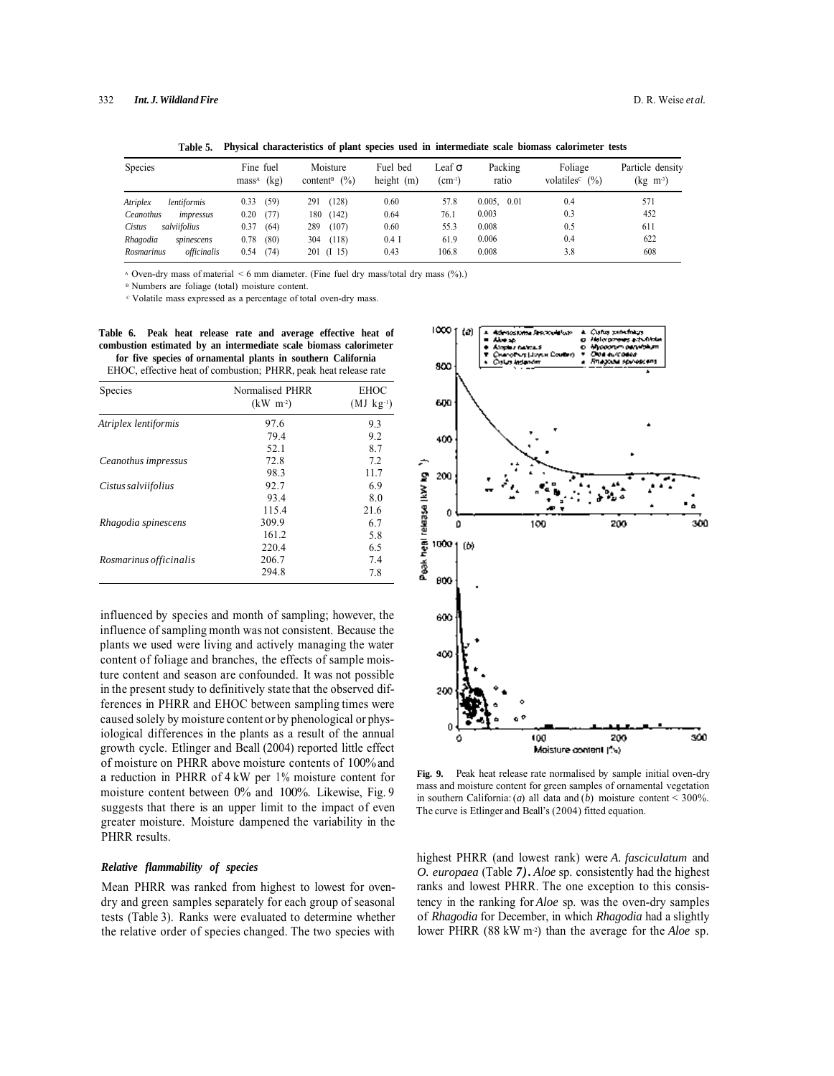| Species                        | Fine fuel<br>(kg)<br>mass <sup>A</sup> | Moisture<br>(%)<br>content <sup>B</sup> | Fuel bed<br>height $(m)$ | Leaf σ<br>$(cm-1)$ | Packing<br>ratio | Foliage<br>(%)<br>volatiles <sup>c</sup> | Particle density<br>$(kg \; m^{3})$ |
|--------------------------------|----------------------------------------|-----------------------------------------|--------------------------|--------------------|------------------|------------------------------------------|-------------------------------------|
| <b>Atriplex</b><br>lentiformis | (59)<br>0.33                           | (128)<br>291                            | 0.60                     | 57.8               | 0.005.<br>0.01   | 0.4                                      | 571                                 |
| Ceanothus<br><i>impressus</i>  | 0.20<br>(77)                           | (142)<br>180                            | 0.64                     | 76.1               | 0.003            | 0.3                                      | 452                                 |
| salviifolius<br>Cistus         | (64)<br>0.37                           | (107)<br>289                            | 0.60                     | 55.3               | 0.008            | 0.5                                      | 611                                 |
| Rhagodia<br>spinescens         | (80)<br>0.78                           | (118)<br>304                            | $0.4$ I                  | 61.9               | 0.006            | 0.4                                      | 622                                 |
| officinalis<br>Rosmarinus      | (74)<br>0.54                           | 201 (I 15)                              | 0.43                     | 106.8              | 0.008            | 3.8                                      | 608                                 |

**Table 5. Physical characteristics of plant species used in intermediate scale biomass calorimeter tests** 

A Oven-dry mass of material < 6 mm diameter. (Fine fuel dry mass/total dry mass (%).)

<sup>B</sup> Numbers are foliage (total) moisture content.

 $c$  Volatile mass expressed as a percentage of total oven-dry mass.

**Table 6. Peak heat release rate and average effective heat of combustion estimated by an intermediate scale biomass calorimeter for five species of ornamental plants in southern California** 

|  |  |  | EHOC, effective heat of combustion; PHRR, peak heat release rate |  |  |  |  |
|--|--|--|------------------------------------------------------------------|--|--|--|--|
|--|--|--|------------------------------------------------------------------|--|--|--|--|

| Species                | Normalised PHRR<br>$(kW \; m^2)$ | <b>EHOC</b><br>$(MJ kg^{-1})$ |
|------------------------|----------------------------------|-------------------------------|
| Atriplex lentiformis   | 97.6                             | 9.3                           |
|                        | 79.4                             | 9.2                           |
|                        | 52.1                             | 8.7                           |
| Ceanothus impressus    | 72.8                             | 7.2                           |
|                        | 98.3                             | 11.7                          |
| Cistus salviifolius    | 92.7                             | 6.9                           |
|                        | 93.4                             | 8.0                           |
|                        | 115.4                            | 21.6                          |
| Rhagodia spinescens    | 309.9                            | 6.7                           |
|                        | 161.2                            | 5.8                           |
|                        | 220.4                            | 6.5                           |
| Rosmarinus officinalis | 206.7                            | 7.4                           |
|                        | 294.8                            | 7.8                           |

influenced by species and month of sampling; however, the influence of sampling month was not consistent. Because the plants we used were living and actively managing the water content of foliage and branches, the effects of sample moisture content and season are confounded. It was not possible in the present study to definitively state that the observed differences in PHRR and EHOC between sampling times were caused solely by moisture content or by phenological or physiological differences in the plants as a result of the annual growth cycle. Etlinger and Beall (2004) reported little effect of moisture on PHRR above moisture contents of 100% and a reduction in PHRR of 4 kW per 1% moisture content for moisture content between 0% and 100%. Likewise, Fig. 9 suggests that there is an upper limit to the impact of even greater moisture. Moisture dampened the variability in the PHRR results.

### *Relative flammability of species*

Mean PHRR was ranked from highest to lowest for ovendry and green samples separately for each group of seasonal tests (Table 3). Ranks were evaluated to determine whether the relative order of species changed. The two species with



**Fig. 9.** Peak heat release rate normalised by sample initial oven-dry mass and moisture content for green samples of ornamental vegetation in southern California: (*a*) all data and (*b*) moisture content < 300%. The curve is Etlinger and Beall's (2004) fitted equation.

highest PHRR (and lowest rank) were *A. fasciculatum* and *O. europaea* (Table *7). Aloe* sp. consistently had the highest ranks and lowest PHRR. The one exception to this consistency in the ranking for *Aloe* sp. was the oven-dry samples of *Rhagodia* for December, in which *Rhagodia* had a slightly lower PHRR (88 kW m-2) than the average for the *Aloe* sp.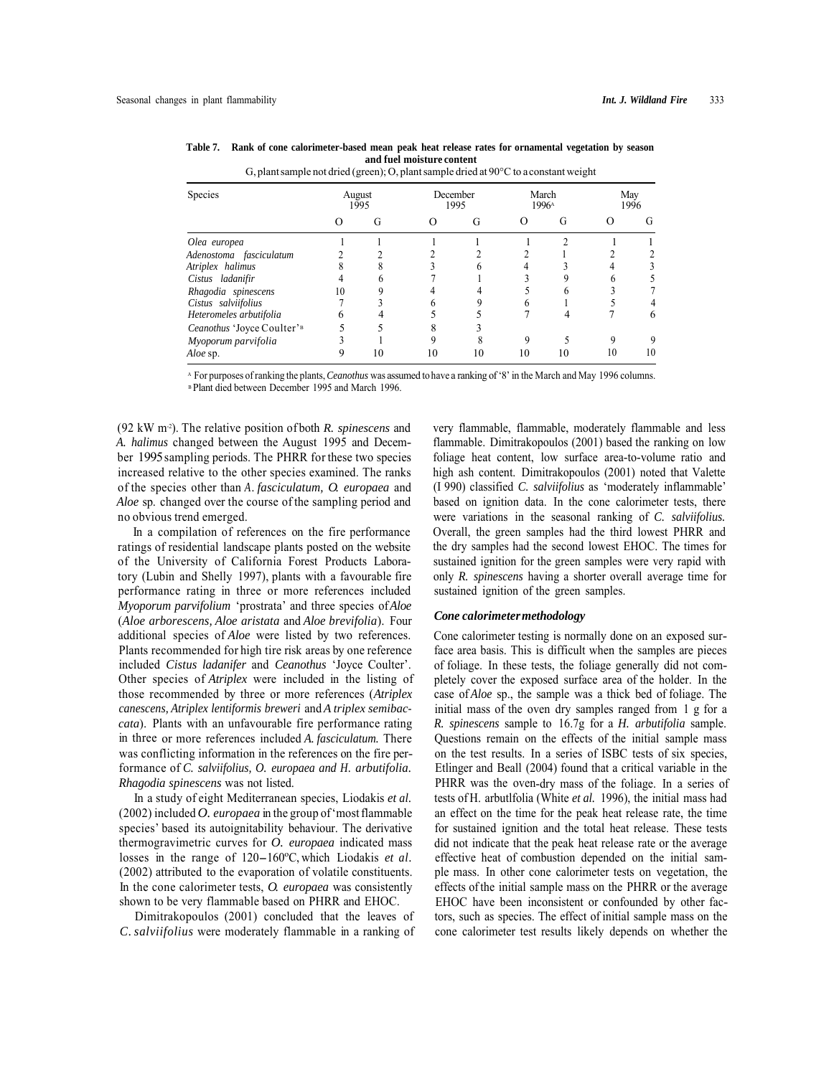|                                        | 0, painteample not allea (green), 0, painteample allea at 2000 to a constant weight |    |                  |    |                            |    |             |    |  |  |  |  |
|----------------------------------------|-------------------------------------------------------------------------------------|----|------------------|----|----------------------------|----|-------------|----|--|--|--|--|
| Species                                | August<br>1995                                                                      |    | December<br>1995 |    | March<br>1996 <sup>A</sup> |    | May<br>1996 |    |  |  |  |  |
|                                        |                                                                                     | G  |                  | G  |                            | G  |             | G  |  |  |  |  |
| Olea europea                           |                                                                                     |    |                  |    |                            |    |             |    |  |  |  |  |
| Adenostoma fasciculatum                |                                                                                     |    |                  |    |                            |    |             |    |  |  |  |  |
| Atriplex halimus                       |                                                                                     |    |                  |    |                            |    |             |    |  |  |  |  |
| Cistus ladanifir                       |                                                                                     |    |                  |    |                            |    |             |    |  |  |  |  |
| Rhagodia spinescens                    | 10                                                                                  |    |                  |    |                            |    |             |    |  |  |  |  |
| Cistus salviifolius                    |                                                                                     |    |                  |    |                            |    |             |    |  |  |  |  |
| Heteromeles arbutifolia                | h                                                                                   |    |                  |    |                            |    |             | 6  |  |  |  |  |
| Ceanothus 'Joyce Coulter' <sup>B</sup> |                                                                                     |    |                  |    |                            |    |             |    |  |  |  |  |
| Myoporum parvifolia                    |                                                                                     |    |                  |    |                            |    | Q           | 9  |  |  |  |  |
| Aloe sp.                               |                                                                                     | 10 | 10               | 10 | 10                         | 10 | 10          | 10 |  |  |  |  |

**Table 7. Rank of cone calorimeter-based mean peak heat release rates for ornamental vegetation by season and fuel moisture content**  G, plant sample not dried (green); O, plant sample dried at  $90^{\circ}$ C to a constant weight

<sup>A</sup> For purposes of ranking the plants, *Ceanothus* was assumed to have a ranking of '8' in the March and May 1996 columns. **B** Plant died between December 1995 and March 1996.

(92 kW m-2). The relative position of both *R. spinescens* and *A. halimus* changed between the August 1995 and December 1995 sampling periods. The PHRR for these two species increased relative to the other species examined. The ranks of the species other than *A. fasciculatum, O. europaea* and *Aloe* sp. changed over the course of the sampling period and no obvious trend emerged.

In a compilation of references on the fire performance ratings of residential landscape plants posted on the website of the University of California Forest Products Laboratory (Lubin and Shelly 1997), plants with a favourable fire performance rating in three or more references included *Myoporum parvifolium* 'prostrata' and three species of *Aloe*  (*Aloe arborescens, Aloe aristata* and *Aloe brevifolia*). Four additional species of *Aloe* were listed by two references. Plants recommended for high tire risk areas by one reference included *Cistus ladanifer* and *Ceanothus* 'Joyce Coulter'. Other species of *Atriplex* were included in the listing of those recommended by three or more references (*Atriplex canescens, Atriplex lentiformis breweri* and *A triplex semibaccata*). Plants with an unfavourable fire performance rating in three or more references included *A. fasciculatum.* There was conflicting information in the references on the fire performance of *C. salviifolius, O. europaea and H. arbutifolia. Rhagodia spinescens* was not listed.

In a study of eight Mediterranean species, Liodakis *et al.*  (2002) included *O. europaea* in the group of 'most flammable species' based its autoignitability behaviour. The derivative thermogravimetric curves for *O. europaea* indicated mass losses in the range of 120–160°C, which Liodakis *et al.* (2002) attributed to the evaporation of volatile constituents. In the cone calorimeter tests, *O. europaea* was consistently shown to be very flammable based on PHRR and EHOC.

Dimitrakopoulos (2001) concluded that the leaves of *C. salviifolius* were moderately flammable in a ranking of very flammable, flammable, moderately flammable and less flammable. Dimitrakopoulos (2001) based the ranking on low foliage heat content, low surface area-to-volume ratio and high ash content. Dimitrakopoulos (2001) noted that Valette (I 990) classified *C. salviifolius* as 'moderately inflammable' based on ignition data. In the cone calorimeter tests, there were variations in the seasonal ranking of *C. salviifolius.*  Overall, the green samples had the third lowest PHRR and the dry samples had the second lowest EHOC. The times for sustained ignition for the green samples were very rapid with only *R. spinescens* having a shorter overall average time for sustained ignition of the green samples.

### *Cone calorimeter methodology*

Cone calorimeter testing is normally done on an exposed surface area basis. This is difficult when the samples are pieces of foliage. In these tests, the foliage generally did not completely cover the exposed surface area of the holder. In the case of *Aloe* sp., the sample was a thick bed of foliage. The initial mass of the oven dry samples ranged from 1 g for a *R. spinescens* sample to 16.7g for a *H. arbutifolia* sample. Questions remain on the effects of the initial sample mass on the test results. In a series of ISBC tests of six species, Etlinger and Beall (2004) found that a critical variable in the PHRR was the oven-dry mass of the foliage. In a series of tests of H. arbutlfolia (White *et al.* 1996), the initial mass had an effect on the time for the peak heat release rate, the time for sustained ignition and the total heat release. These tests did not indicate that the peak heat release rate or the average effective heat of combustion depended on the initial sample mass. In other cone calorimeter tests on vegetation, the effects of the initial sample mass on the PHRR or the average EHOC have been inconsistent or confounded by other factors, such as species. The effect of initial sample mass on the cone calorimeter test results likely depends on whether the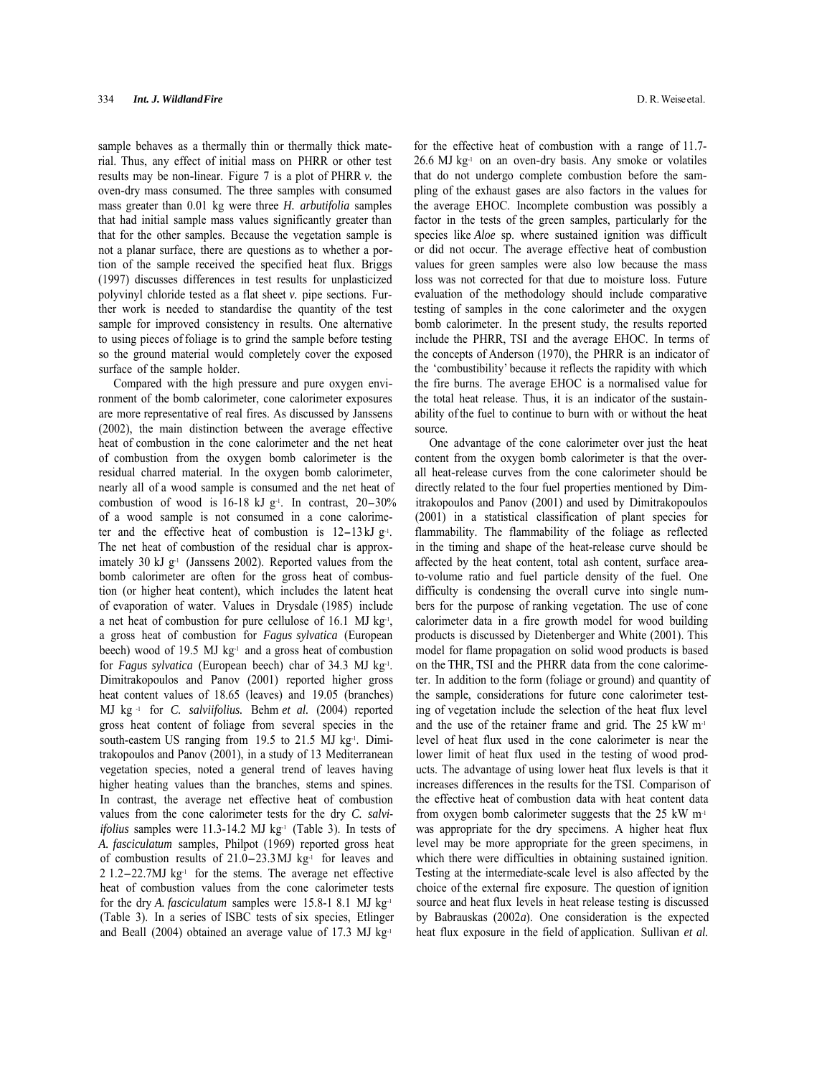sample behaves as a thermally thin or thermally thick material. Thus, any effect of initial mass on PHRR or other test results may be non-linear. Figure 7 is a plot of PHRR *v.* the oven-dry mass consumed. The three samples with consumed mass greater than 0.01 kg were three *H. arbutifolia* samples that had initial sample mass values significantly greater than that for the other samples. Because the vegetation sample is not a planar surface, there are questions as to whether a portion of the sample received the specified heat flux. Briggs (1997) discusses differences in test results for unplasticized polyvinyl chloride tested as a flat sheet *v.* pipe sections. Further work is needed to standardise the quantity of the test sample for improved consistency in results. One alternative to using pieces of foliage is to grind the sample before testing so the ground material would completely cover the exposed surface of the sample holder.

Compared with the high pressure and pure oxygen environment of the bomb calorimeter, cone calorimeter exposures are more representative of real fires. As discussed by Janssens (2002), the main distinction between the average effective heat of combustion in the cone calorimeter and the net heat of combustion from the oxygen bomb calorimeter is the residual charred material. In the oxygen bomb calorimeter, nearly all of a wood sample is consumed and the net heat of combustion of wood is  $16-18$  kJ g<sup>-1</sup>. In contrast,  $20-30\%$ of a wood sample is not consumed in a cone calorimeter and the effective heat of combustion is  $12-13 \text{ kJ g}$ <sup>1</sup>. The net heat of combustion of the residual char is approximately 30 kJ g-1 (Janssens 2002). Reported values from the bomb calorimeter are often for the gross heat of combustion (or higher heat content), which includes the latent heat of evaporation of water. Values in Drysdale (1985) include a net heat of combustion for pure cellulose of 16.1 MJ  $kg<sup>-1</sup>$ , a gross heat of combustion for *Fagus sylvatica* (European beech) wood of 19.5 MJ kg-1 and a gross heat of combustion for *Fagus sylvatica* (European beech) char of 34.3 MJ kg-1. Dimitrakopoulos and Panov (2001) reported higher gross heat content values of 18.65 (leaves) and 19.05 (branches) MJ kg -1 for *C. salviifolius.* Behm *et al.* (2004) reported gross heat content of foliage from several species in the south-eastem US ranging from 19.5 to 21.5 MJ kg-1. Dimitrakopoulos and Panov (2001), in a study of 13 Mediterranean vegetation species, noted a general trend of leaves having higher heating values than the branches, stems and spines. In contrast, the average net effective heat of combustion values from the cone calorimeter tests for the dry *C. salviifolius* samples were 11.3-14.2 MJ kg-1 (Table 3). In tests of *A. fasciculatum* samples, Philpot (1969) reported gross heat of combustion results of  $21.0-23.3$  MJ kg<sup>-1</sup> for leaves and 2 1.2-22.7MJ kg-1 for the stems. The average net effective heat of combustion values from the cone calorimeter tests for the dry *A. fasciculatum* samples were 15.8-1 8.1 MJ kg-1 (Table 3). In a series of ISBC tests of six species, Etlinger and Beall (2004) obtained an average value of 17.3 MJ kg-1

for the effective heat of combustion with a range of 11.7- 26.6 MJ kg-1 on an oven-dry basis. Any smoke or volatiles that do not undergo complete combustion before the sampling of the exhaust gases are also factors in the values for the average EHOC. Incomplete combustion was possibly a factor in the tests of the green samples, particularly for the species like *Aloe* sp. where sustained ignition was difficult or did not occur. The average effective heat of combustion values for green samples were also low because the mass loss was not corrected for that due to moisture loss. Future evaluation of the methodology should include comparative testing of samples in the cone calorimeter and the oxygen bomb calorimeter. In the present study, the results reported include the PHRR, TSI and the average EHOC. In terms of the concepts of Anderson (1970), the PHRR is an indicator of the 'combustibility' because it reflects the rapidity with which the fire burns. The average EHOC is a normalised value for the total heat release. Thus, it is an indicator of the sustainability of the fuel to continue to burn with or without the heat source.

One advantage of the cone calorimeter over just the heat content from the oxygen bomb calorimeter is that the overall heat-release curves from the cone calorimeter should be directly related to the four fuel properties mentioned by Dimitrakopoulos and Panov (2001) and used by Dimitrakopoulos (2001) in a statistical classification of plant species for flammability. The flammability of the foliage as reflected in the timing and shape of the heat-release curve should be affected by the heat content, total ash content, surface areato-volume ratio and fuel particle density of the fuel. One difficulty is condensing the overall curve into single numbers for the purpose of ranking vegetation. The use of cone calorimeter data in a fire growth model for wood building products is discussed by Dietenberger and White (2001). This model for flame propagation on solid wood products is based on the THR, TSI and the PHRR data from the cone calorimeter. In addition to the form (foliage or ground) and quantity of the sample, considerations for future cone calorimeter testing of vegetation include the selection of the heat flux level and the use of the retainer frame and grid. The 25 kW m-1 level of heat flux used in the cone calorimeter is near the lower limit of heat flux used in the testing of wood products. The advantage of using lower heat flux levels is that it increases differences in the results for the TSI. Comparison of the effective heat of combustion data with heat content data from oxygen bomb calorimeter suggests that the 25 kW m-1 was appropriate for the dry specimens. A higher heat flux level may be more appropriate for the green specimens, in which there were difficulties in obtaining sustained ignition. Testing at the intermediate-scale level is also affected by the choice of the external fire exposure. The question of ignition source and heat flux levels in heat release testing is discussed by Babrauskas (2002*a*). One consideration is the expected heat flux exposure in the field of application. Sullivan *et al.*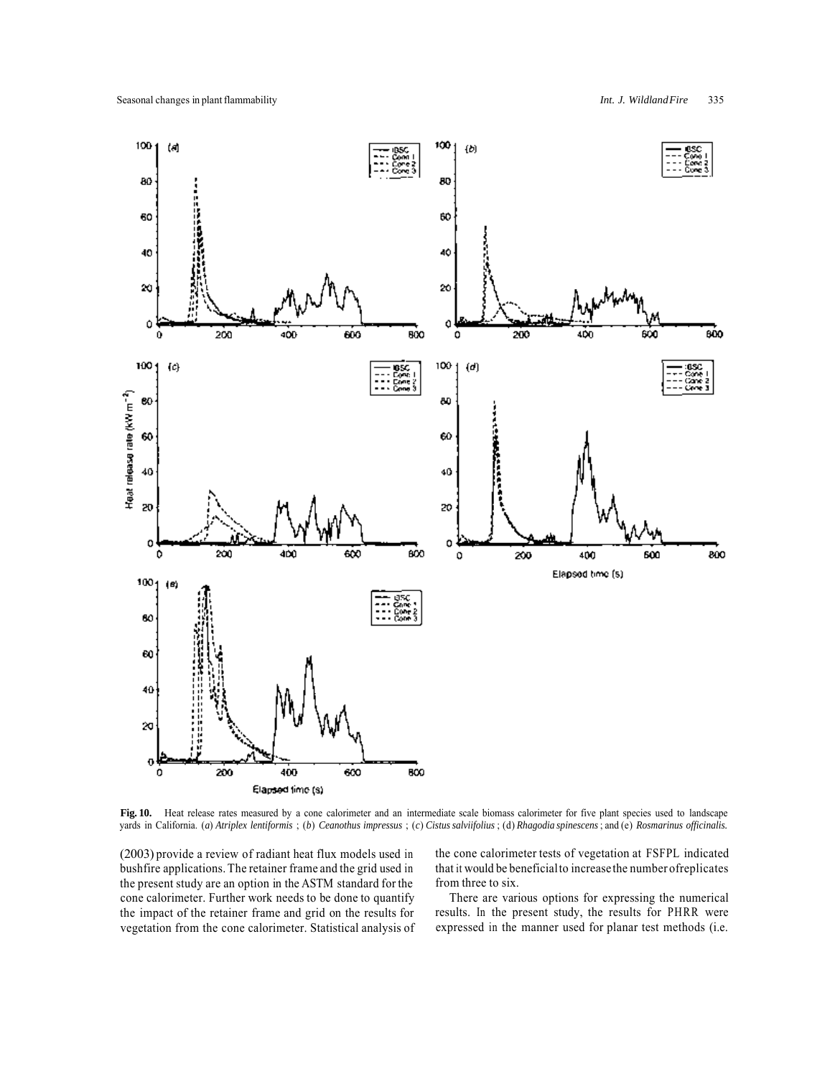

**Fig. 10.** Heat release rates measured by a cone calorimeter and an intermediate scale biomass calorimeter for five plant species used to landscape yards in California. (*a*) *Atriplex lentiformis* ; (*b*) *Ceanothus impressus* ; (*c*) *Cistus salviifolius* ; (d) *Rhagodia spinescens* ; and (e) *Rosmarinus officinalis.* 

the present study are an option in the ASTM standard for the from three to six. cone calorimeter. Further work needs to be done to quantify There are various options for expressing the numerical vegetation from the cone calorimeter. Statistical analysis of expressed in the manner used for planar test methods (i.e.

(2003) provide a review of radiant heat flux models used in the cone calorimeter tests of vegetation at FSFPL indicated bushfire applications. The retainer frame and the grid used in that it would be beneficial to increase that it would be beneficial to increase the number ofreplicates

the impact of the retainer frame and grid on the results for results. In the present study, the results for PHRR were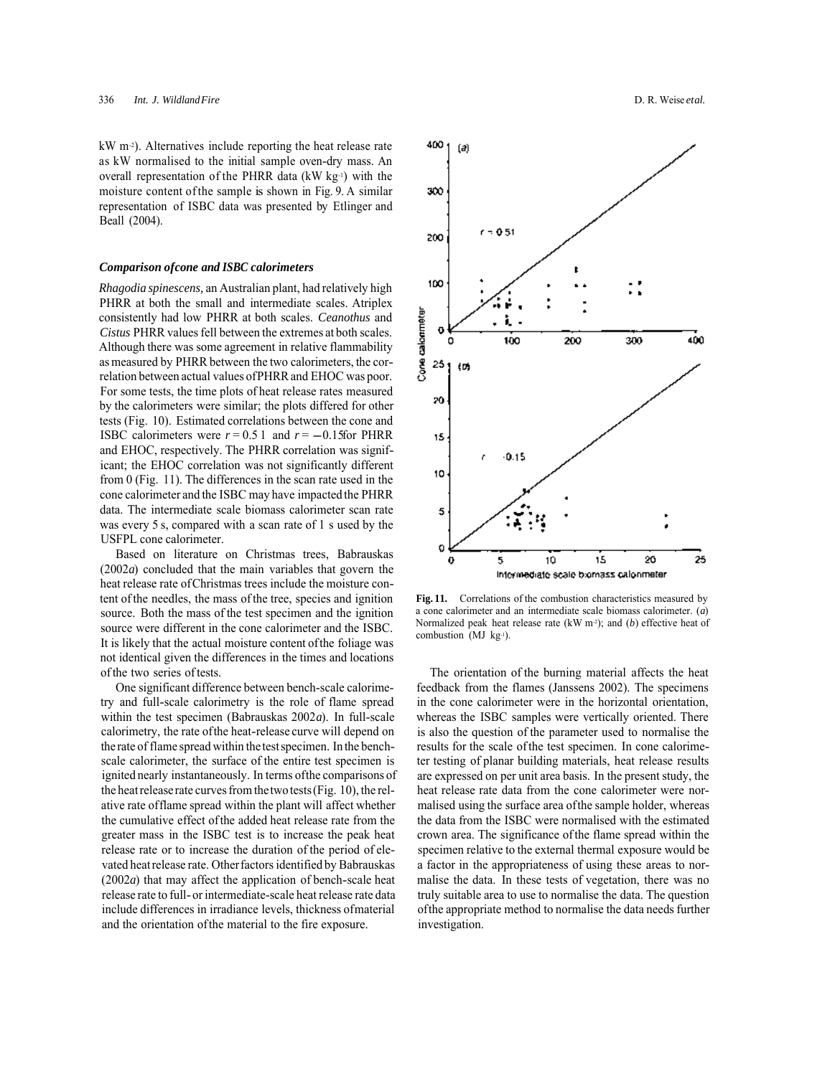kW m-2). Alternatives include reporting the heat release rate as kW normalised to the initial sample oven-dry mass. An overall representation of the PHRR data (kW kg-1) with the moisture content of the sample is shown in Fig. 9. A similar representation of ISBC data was presented by Etlinger and Beall (2004).

### *Comparison ofcone and ISBC calorimeters*

*Rhagodia spinescens,* an Australian plant, had relatively high PHRR at both the small and intermediate scales. Atriplex consistently had low PHRR at both scales. *Ceanothus* and *Cistus* PHRR values fell between the extremes at both scales. Although there was some agreement in relative flammability as measured by PHRR between the two calorimeters, the correlation between actual values ofPHRR and EHOC was poor. For some tests, the time plots of heat release rates measured by the calorimeters were similar; the plots differed for other tests (Fig. 10). Estimated correlations between the cone and ISBC calorimeters were  $r = 0.51$  and  $r = -0.15$  for PHRR and EHOC, respectively. The PHRR correlation was significant; the EHOC correlation was not significantly different from 0 (Fig. 11). The differences in the scan rate used in the cone calorimeter and the ISBC may have impacted the PHRR data. The intermediate scale biomass calorimeter scan rate was every 5 s, compared with a scan rate of 1 s used by the USFPL cone calorimeter.

Based on literature on Christmas trees, Babrauskas (2002*a*) concluded that the main variables that govern the heat release rate of Christmas trees include the moisture content of the needles, the mass of the tree, species and ignition source. Both the mass of the test specimen and the ignition source were different in the cone calorimeter and the ISBC. It is likely that the actual moisture content of the foliage was not identical given the differences in the times and locations of the two series of tests.

One significant difference between bench-scale calorimetry and full-scale calorimetry is the role of flame spread within the test specimen (Babrauskas 2002*a*). In full-scale calorimetry, the rate ofthe heat-release curve will depend on the rate of flame spread within the test specimen. In the benchscale calorimeter, the surface of the entire test specimen is ignited nearly instantaneously. In terms ofthe comparisons of the heat release rate curves from the two tests (Fig. 10), the relative rate offlame spread within the plant will affect whether the cumulative effect of the added heat release rate from the greater mass in the ISBC test is to increase the peak heat release rate or to increase the duration of the period of elevated heat release rate. Other factors identified by Babrauskas (2002*a*) that may affect the application of bench-scale heat release rate to full-or intermediate-scale heat release rate data include differences in irradiance levels, thickness ofmaterial and the orientation of the material to the fire exposure.



**Fig. 11.** Correlations of the combustion characteristics measured by a cone calorimeter and an intermediate scale biomass calorimeter. (*a*) Normalized peak heat release rate (kW m-2); and (*b*) effective heat of combustion (MJ kg-1).

The orientation of the burning material affects the heat feedback from the flames (Janssens 2002). The specimens in the cone calorimeter were in the horizontal orientation, whereas the ISBC samples were vertically oriented. There is also the question of the parameter used to normalise the results for the scale of the test specimen. In cone calorimeter testing of planar building materials, heat release results are expressed on per unit area basis. In the present study, the heat release rate data from the cone calorimeter were normalised using the surface area of the sample holder, whereas the data from the ISBC were normalised with the estimated crown area. The significance of the flame spread within the specimen relative to the external thermal exposure would be a factor in the appropriateness of using these areas to normalise the data. In these tests of vegetation, there was no truly suitable area to use to normalise the data. The question ofthe appropriate method to normalise the data needs further investigation.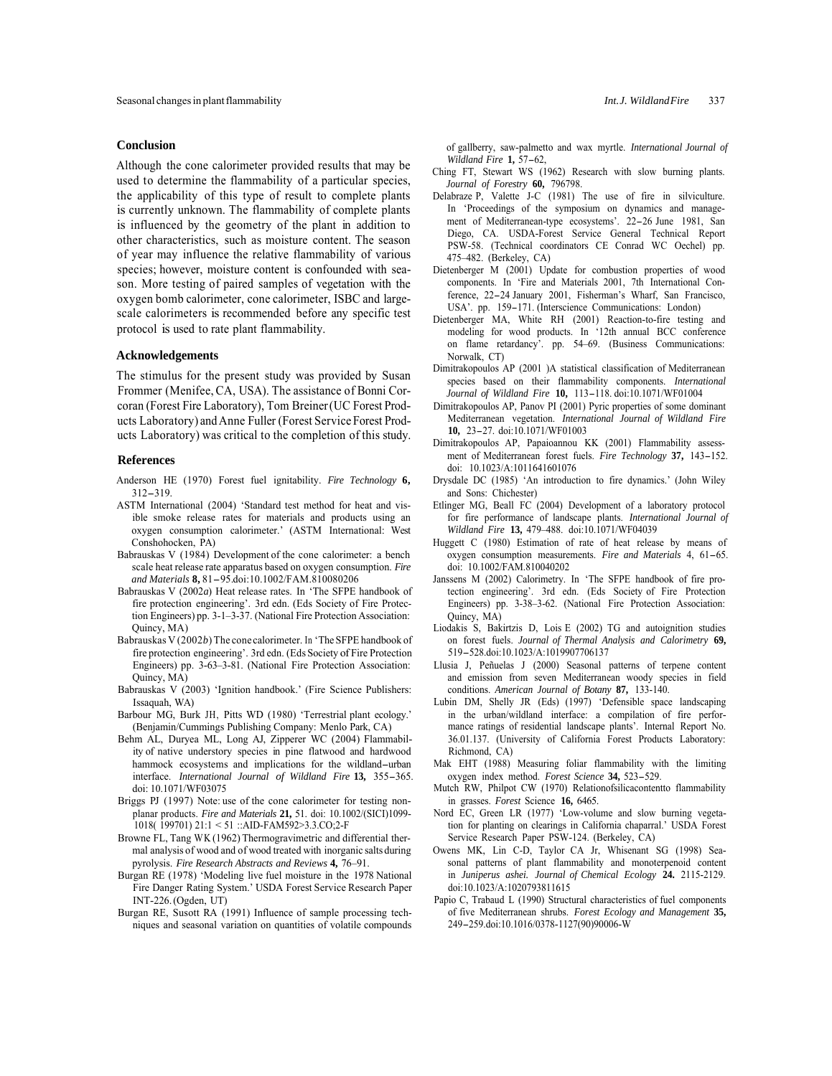#### **Conclusion**

Although the cone calorimeter provided results that may be used to determine the flammability of a particular species, the applicability of this type of result to complete plants is currently unknown. The flammability of complete plants is influenced by the geometry of the plant in addition to other characteristics, such as moisture content. The season of year may influence the relative flammability of various species; however, moisture content is confounded with season. More testing of paired samples of vegetation with the oxygen bomb calorimeter, cone calorimeter, ISBC and largescale calorimeters is recommended before any specific test protocol is used to rate plant flammability.

# **Acknowledgements**

The stimulus for the present study was provided by Susan Frommer (Menifee, CA, USA). The assistance of Bonni Corcoran (Forest Fire Laboratory), Tom Breiner (UC Forest Products Laboratory) and Anne Fuller (Forest Service Forest Products Laboratory) was critical to the completion of this study.

### **References**

- Anderson HE (1970) Forest fuel ignitability. *Fire Technology* **6,**  312-319.
- ASTM International (2004) 'Standard test method for heat and visible smoke release rates for materials and products using an oxygen consumption calorimeter.' (ASTM International: West Conshohocken, PA)
- Babrauskas V (1984) Development of the cone calorimeter: a bench scale heat release rate apparatus based on oxygen consumption. *Fire and Materials* **8,** 81-95.doi:10.1002/FAM.810080206
- Babrauskas V (2002*a*) Heat release rates. In 'The SFPE handbook of fire protection engineering'. 3rd edn. (Eds Society of Fire Protection Engineers) pp. 3-1–3-37. (National Fire Protection Association: Quincy, MA)
- Babrauskas V (2002*b*) The cone calorimeter. In 'The SFPE handbook of fire protection engineering'. 3rd edn. (Eds Society of Fire Protection Engineers) pp. 3-63–3-81. (National Fire Protection Association: Quincy, MA)
- Babrauskas V (2003) 'Ignition handbook.' (Fire Science Publishers: Issaquah, WA)
- Barbour MG, Burk JH, Pitts WD (1980) 'Terrestrial plant ecology.' (Benjamin/Cummings Publishing Company: Menlo Park, CA)
- Behm AL, Duryea ML, Long AJ, Zipperer WC (2004) Flammability of native understory species in pine flatwood and hardwood hammock ecosystems and implications for the wildland-urban interface. *International Journal of Wildland Fire* **13,** 355-365. doi: 10.1071/WF03075
- Briggs PJ (1997) Note: use of the cone calorimeter for testing nonplanar products. *Fire and Materials* **21,** 51. doi: 10.1002/(SICI)1099- 1018( 199701) 21:1 < 51 ::AID-FAM592>3.3.CO;2-F
- Browne FL, Tang WK (1962) Thermogravimetric and differential thermal analysis of wood and of wood treated with inorganic salts during pyrolysis. *Fire Research Abstracts and Reviews* **4,** 76–91.
- Burgan RE (1978) 'Modeling live fuel moisture in the 1978 National Fire Danger Rating System.' USDA Forest Service Research Paper INT-226. (Ogden, UT)
- Burgan RE, Susott RA (1991) Influence of sample processing techniques and seasonal variation on quantities of volatile compounds

of gallberry, saw-palmetto and wax myrtle. *International Journal of Wildland Fire* **1,** 57-62,

- Ching FT, Stewart WS (1962) Research with slow burning plants. *Journal of Forestry* **60,** 796798.
- Delabraze P, Valette J-C (1981) The use of fire in silviculture. In 'Proceedings of the symposium on dynamics and management of Mediterranean-type ecosystems'. 22-26 June 1981, San Diego, CA. USDA-Forest Service General Technical Report PSW-58. (Technical coordinators CE Conrad WC Oechel) pp. 475–482. (Berkeley, CA)
- Dietenberger M (2001) Update for combustion properties of wood components. In 'Fire and Materials 2001, 7th International Conference, 22-24 January 2001, Fisherman's Wharf, San Francisco, USA'. pp. 159-171. (Interscience Communications: London)
- Dietenberger MA, White RH (2001) Reaction-to-fire testing and modeling for wood products. In '12th annual BCC conference on flame retardancy'. pp. 54–69. (Business Communications: Norwalk, CT)
- Dimitrakopoulos AP (2001 )A statistical classification of Mediterranean species based on their flammability components. *International Journal of Wildland Fire* **10,** 113-118. doi:10.1071/WF01004
- Dimitrakopoulos AP, Panov PI (2001) Pyric properties of some dominant Mediterranean vegetation. *International Journal of Wildland Fire*  **10,** 23-27. doi:10.1071/WF01003
- Dimitrakopoulos AP, Papaioannou KK (2001) Flammability assessment of Mediterranean forest fuels. *Fire Technology* **37,** 143-152. doi: 10.1023/A:1011641601076
- Drysdale DC (1985) 'An introduction to fire dynamics.' (John Wiley and Sons: Chichester)
- Etlinger MG, Beall FC (2004) Development of a laboratory protocol for fire performance of landscape plants. *International Journal of Wildland Fire* **13,** 479–488. doi:10.1071/WF04039
- Huggett C (1980) Estimation of rate of heat release by means of oxygen consumption measurements. *Fire and Materials* 4, 61-65. doi: 10.1002/FAM.810040202
- Janssens M (2002) Calorimetry. In 'The SFPE handbook of fire protection engineering'. 3rd edn. (Eds Society of Fire Protection Engineers) pp. 3-38–3-62. (National Fire Protection Association: Quincy, MA)
- Liodakis S, Bakirtzis D, Lois E (2002) TG and autoignition studies on forest fuels. *Journal of Thermal Analysis and Calorimetry* **69,**  519-528.doi:10.1023/A:1019907706137
- Llusia J, Peñuelas J (2000) Seasonal patterns of terpene content and emission from seven Mediterranean woody species in field conditions. *American Journal of Botany* **87,** 133-140.
- Lubin DM, Shelly JR (Eds) (1997) 'Defensible space landscaping in the urban/wildland interface: a compilation of fire performance ratings of residential landscape plants'. Internal Report No. 36.01.137. (University of California Forest Products Laboratory: Richmond, CA)
- Mak EHT (1988) Measuring foliar flammability with the limiting oxygen index method. *Forest Science* **34,** 523-529.
- Mutch RW, Philpot CW (1970) Relationofsilicacontentto flammability in grasses. *Forest* Science **16,** 6465.
- Nord EC, Green LR (1977) 'Low-volume and slow burning vegetation for planting on clearings in California chaparral.' USDA Forest Service Research Paper PSW-124. (Berkeley, CA)
- Owens MK, Lin C-D, Taylor CA Jr, Whisenant SG (1998) Seasonal patterns of plant flammability and monoterpenoid content in *Juniperus ashei. Journal of Chemical Ecology* **24.** 2115-2129. doi:10.1023/A:1020793811615
- Papio C, Trabaud L (1990) Structural characteristics of fuel components of five Mediterranean shrubs. *Forest Ecology and Management* **35,**  249-259.doi:10.1016/0378-1127(90)90006-W